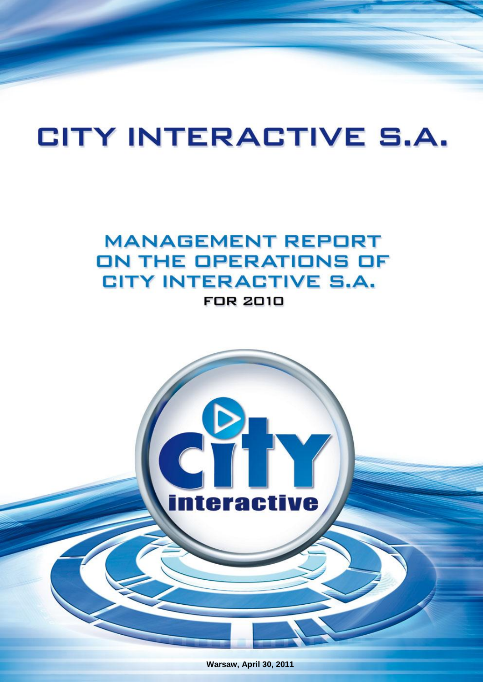# **CITY INTERACTIVE S.A.**

## **MANAGEMENT REPORT** ON THE OPERATIONS OF **CITY INTERACTIVE S.A. FOR 2010**



**Warsaw, April 30, 2011**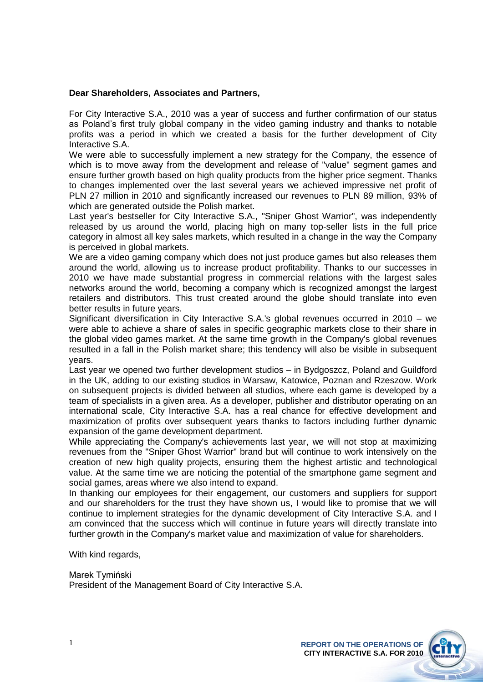### **Dear Shareholders, Associates and Partners,**

For City Interactive S.A., 2010 was a year of success and further confirmation of our status as Poland's first truly global company in the video gaming industry and thanks to notable profits was a period in which we created a basis for the further development of City Interactive S.A.

We were able to successfully implement a new strategy for the Company, the essence of which is to move away from the development and release of "value" segment games and ensure further growth based on high quality products from the higher price segment. Thanks to changes implemented over the last several years we achieved impressive net profit of PLN 27 million in 2010 and significantly increased our revenues to PLN 89 million, 93% of which are generated outside the Polish market.

Last year's bestseller for City Interactive S.A., "Sniper Ghost Warrior", was independently released by us around the world, placing high on many top-seller lists in the full price category in almost all key sales markets, which resulted in a change in the way the Company is perceived in global markets.

We are a video gaming company which does not just produce games but also releases them around the world, allowing us to increase product profitability. Thanks to our successes in 2010 we have made substantial progress in commercial relations with the largest sales networks around the world, becoming a company which is recognized amongst the largest retailers and distributors. This trust created around the globe should translate into even better results in future years.

Significant diversification in City Interactive S.A.'s global revenues occurred in 2010 – we were able to achieve a share of sales in specific geographic markets close to their share in the global video games market. At the same time growth in the Company's global revenues resulted in a fall in the Polish market share; this tendency will also be visible in subsequent years.

Last year we opened two further development studios – in Bydgoszcz, Poland and Guildford in the UK, adding to our existing studios in Warsaw, Katowice, Poznan and Rzeszow. Work on subsequent projects is divided between all studios, where each game is developed by a team of specialists in a given area. As a developer, publisher and distributor operating on an international scale, City Interactive S.A. has a real chance for effective development and maximization of profits over subsequent years thanks to factors including further dynamic expansion of the game development department.

While appreciating the Company's achievements last year, we will not stop at maximizing revenues from the "Sniper Ghost Warrior" brand but will continue to work intensively on the creation of new high quality projects, ensuring them the highest artistic and technological value. At the same time we are noticing the potential of the smartphone game segment and social games, areas where we also intend to expand.

In thanking our employees for their engagement, our customers and suppliers for support and our shareholders for the trust they have shown us, I would like to promise that we will continue to implement strategies for the dynamic development of City Interactive S.A. and I am convinced that the success which will continue in future years will directly translate into further growth in the Company's market value and maximization of value for shareholders.

With kind regards,

Marek Tymiński President of the Management Board of City Interactive S.A.

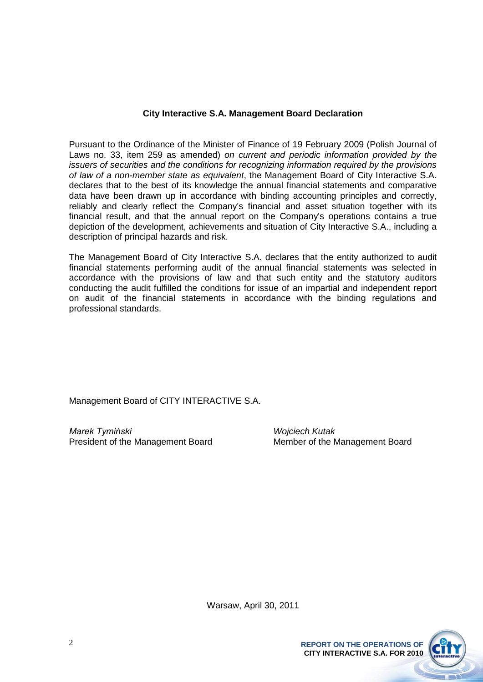### **City Interactive S.A. Management Board Declaration**

Pursuant to the Ordinance of the Minister of Finance of 19 February 2009 (Polish Journal of Laws no. 33, item 259 as amended) *on current and periodic information provided by the issuers of securities and the conditions for recognizing information required by the provisions of law of a non-member state as equivalent*, the Management Board of City Interactive S.A. declares that to the best of its knowledge the annual financial statements and comparative data have been drawn up in accordance with binding accounting principles and correctly, reliably and clearly reflect the Company's financial and asset situation together with its financial result, and that the annual report on the Company's operations contains a true depiction of the development, achievements and situation of City Interactive S.A., including a description of principal hazards and risk.

The Management Board of City Interactive S.A. declares that the entity authorized to audit financial statements performing audit of the annual financial statements was selected in accordance with the provisions of law and that such entity and the statutory auditors conducting the audit fulfilled the conditions for issue of an impartial and independent report on audit of the financial statements in accordance with the binding regulations and professional standards.

Management Board of CITY INTERACTIVE S.A.

*Marek Tymiński Wojciech Kutak* President of the Management Board Member of the Management Board

Warsaw, April 30, 2011

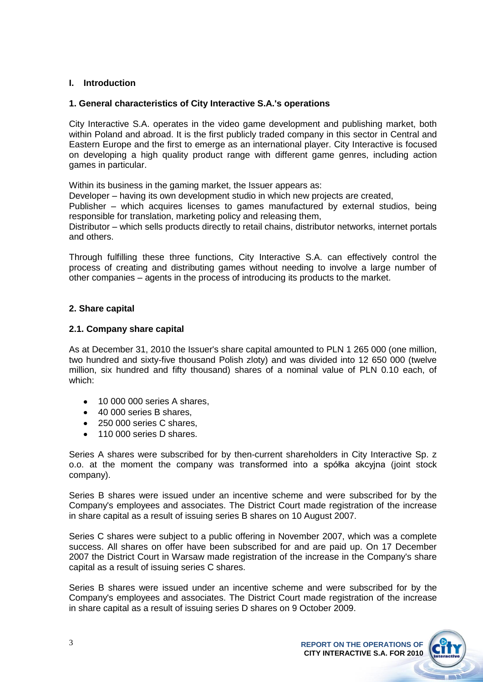### **I. Introduction**

### **1. General characteristics of City Interactive S.A.'s operations**

City Interactive S.A. operates in the video game development and publishing market, both within Poland and abroad. It is the first publicly traded company in this sector in Central and Eastern Europe and the first to emerge as an international player. City Interactive is focused on developing a high quality product range with different game genres, including action games in particular.

Within its business in the gaming market, the Issuer appears as:

Developer – having its own development studio in which new projects are created,

Publisher – which acquires licenses to games manufactured by external studios, being responsible for translation, marketing policy and releasing them,

Distributor – which sells products directly to retail chains, distributor networks, internet portals and others.

Through fulfilling these three functions, City Interactive S.A. can effectively control the process of creating and distributing games without needing to involve a large number of other companies – agents in the process of introducing its products to the market.

### **2. Share capital**

### **2.1. Company share capital**

As at December 31, 2010 the Issuer's share capital amounted to PLN 1 265 000 (one million, two hundred and sixty-five thousand Polish zloty) and was divided into 12 650 000 (twelve million, six hundred and fifty thousand) shares of a nominal value of PLN 0.10 each, of which:

- 10 000 000 series A shares,  $\bullet$
- 40 000 series B shares,
- 250 000 series C shares,
- 110 000 series D shares.

Series A shares were subscribed for by then-current shareholders in City Interactive Sp. z o.o. at the moment the company was transformed into a spółka akcyjna (joint stock company).

Series B shares were issued under an incentive scheme and were subscribed for by the Company's employees and associates. The District Court made registration of the increase in share capital as a result of issuing series B shares on 10 August 2007.

Series C shares were subject to a public offering in November 2007, which was a complete success. All shares on offer have been subscribed for and are paid up. On 17 December 2007 the District Court in Warsaw made registration of the increase in the Company's share capital as a result of issuing series C shares.

Series B shares were issued under an incentive scheme and were subscribed for by the Company's employees and associates. The District Court made registration of the increase in share capital as a result of issuing series D shares on 9 October 2009.

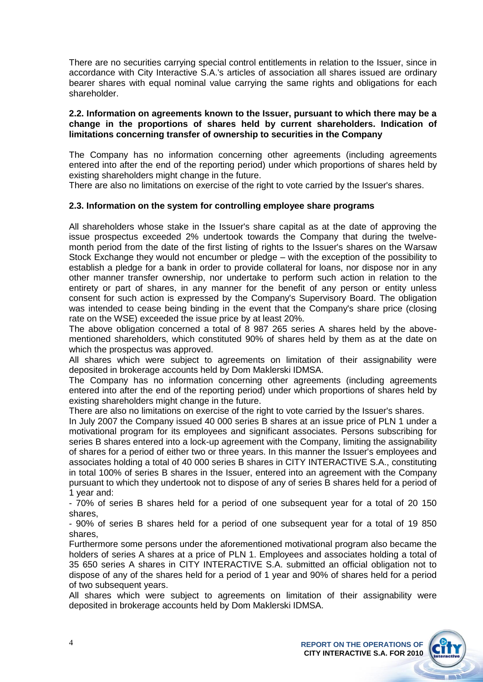There are no securities carrying special control entitlements in relation to the Issuer, since in accordance with City Interactive S.A.'s articles of association all shares issued are ordinary bearer shares with equal nominal value carrying the same rights and obligations for each shareholder.

### **2.2. Information on agreements known to the Issuer, pursuant to which there may be a change in the proportions of shares held by current shareholders. Indication of limitations concerning transfer of ownership to securities in the Company**

The Company has no information concerning other agreements (including agreements entered into after the end of the reporting period) under which proportions of shares held by existing shareholders might change in the future.

There are also no limitations on exercise of the right to vote carried by the Issuer's shares.

### **2.3. Information on the system for controlling employee share programs**

All shareholders whose stake in the Issuer's share capital as at the date of approving the issue prospectus exceeded 2% undertook towards the Company that during the twelvemonth period from the date of the first listing of rights to the Issuer's shares on the Warsaw Stock Exchange they would not encumber or pledge – with the exception of the possibility to establish a pledge for a bank in order to provide collateral for loans, nor dispose nor in any other manner transfer ownership, nor undertake to perform such action in relation to the entirety or part of shares, in any manner for the benefit of any person or entity unless consent for such action is expressed by the Company's Supervisory Board. The obligation was intended to cease being binding in the event that the Company's share price (closing rate on the WSE) exceeded the issue price by at least 20%.

The above obligation concerned a total of 8 987 265 series A shares held by the abovementioned shareholders, which constituted 90% of shares held by them as at the date on which the prospectus was approved.

All shares which were subject to agreements on limitation of their assignability were deposited in brokerage accounts held by Dom Maklerski IDMSA.

The Company has no information concerning other agreements (including agreements entered into after the end of the reporting period) under which proportions of shares held by existing shareholders might change in the future.

There are also no limitations on exercise of the right to vote carried by the Issuer's shares.

In July 2007 the Company issued 40 000 series B shares at an issue price of PLN 1 under a motivational program for its employees and significant associates. Persons subscribing for series B shares entered into a lock-up agreement with the Company, limiting the assignability of shares for a period of either two or three years. In this manner the Issuer's employees and associates holding a total of 40 000 series B shares in CITY INTERACTIVE S.A., constituting in total 100% of series B shares in the Issuer, entered into an agreement with the Company pursuant to which they undertook not to dispose of any of series B shares held for a period of 1 year and:

- 70% of series B shares held for a period of one subsequent year for a total of 20 150 shares,

- 90% of series B shares held for a period of one subsequent year for a total of 19 850 shares,

Furthermore some persons under the aforementioned motivational program also became the holders of series A shares at a price of PLN 1. Employees and associates holding a total of 35 650 series A shares in CITY INTERACTIVE S.A. submitted an official obligation not to dispose of any of the shares held for a period of 1 year and 90% of shares held for a period of two subsequent years.

All shares which were subject to agreements on limitation of their assignability were deposited in brokerage accounts held by Dom Maklerski IDMSA.

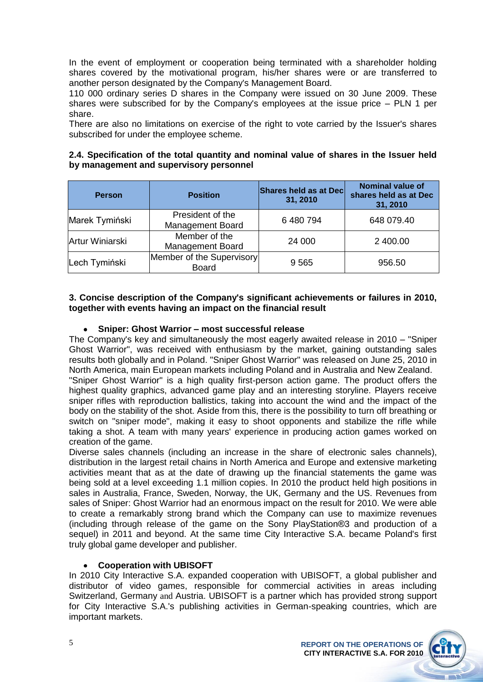In the event of employment or cooperation being terminated with a shareholder holding shares covered by the motivational program, his/her shares were or are transferred to another person designated by the Company's Management Board.

110 000 ordinary series D shares in the Company were issued on 30 June 2009. These shares were subscribed for by the Company's employees at the issue price – PLN 1 per share.

There are also no limitations on exercise of the right to vote carried by the Issuer's shares subscribed for under the employee scheme.

### **2.4. Specification of the total quantity and nominal value of shares in the Issuer held by management and supervisory personnel**

| <b>Person</b>   | <b>Position</b>                             | Shares held as at Dec<br>31, 2010 | <b>Nominal value of</b><br>shares held as at Dec<br>31, 2010 |
|-----------------|---------------------------------------------|-----------------------------------|--------------------------------------------------------------|
| Marek Tymiński  | President of the<br><b>Management Board</b> | 6 480 794                         | 648 079.40                                                   |
| Artur Winiarski | Member of the<br><b>Management Board</b>    | 24 000                            | 2 400.00                                                     |
| Lech Tymiński   | Member of the Supervisory<br><b>Board</b>   | 9565                              | 956.50                                                       |

### **3. Concise description of the Company's significant achievements or failures in 2010, together with events having an impact on the financial result**

### **Sniper: Ghost Warrior – most successful release**

The Company's key and simultaneously the most eagerly awaited release in 2010 – "Sniper Ghost Warrior", was received with enthusiasm by the market, gaining outstanding sales results both globally and in Poland. "Sniper Ghost Warrior" was released on June 25, 2010 in North America, main European markets including Poland and in Australia and New Zealand. "Sniper Ghost Warrior" is a high quality first-person action game. The product offers the

highest quality graphics, advanced game play and an interesting storyline. Players receive sniper rifles with reproduction ballistics, taking into account the wind and the impact of the body on the stability of the shot. Aside from this, there is the possibility to turn off breathing or switch on "sniper mode", making it easy to shoot opponents and stabilize the rifle while taking a shot. A team with many years' experience in producing action games worked on creation of the game.

Diverse sales channels (including an increase in the share of electronic sales channels), distribution in the largest retail chains in North America and Europe and extensive marketing activities meant that as at the date of drawing up the financial statements the game was being sold at a level exceeding 1.1 million copies. In 2010 the product held high positions in sales in Australia, France, Sweden, Norway, the UK, Germany and the US. Revenues from sales of Sniper: Ghost Warrior had an enormous impact on the result for 2010. We were able to create a remarkably strong brand which the Company can use to maximize revenues (including through release of the game on the Sony PlayStation®3 and production of a sequel) in 2011 and beyond. At the same time City Interactive S.A. became Poland's first truly global game developer and publisher.

### **Cooperation with UBISOFT**

In 2010 City Interactive S.A. expanded cooperation with UBISOFT, a global publisher and distributor of video games, responsible for commercial activities in areas including Switzerland, Germany and Austria. UBISOFT is a partner which has provided strong support for City Interactive S.A.'s publishing activities in German-speaking countries, which are important markets.

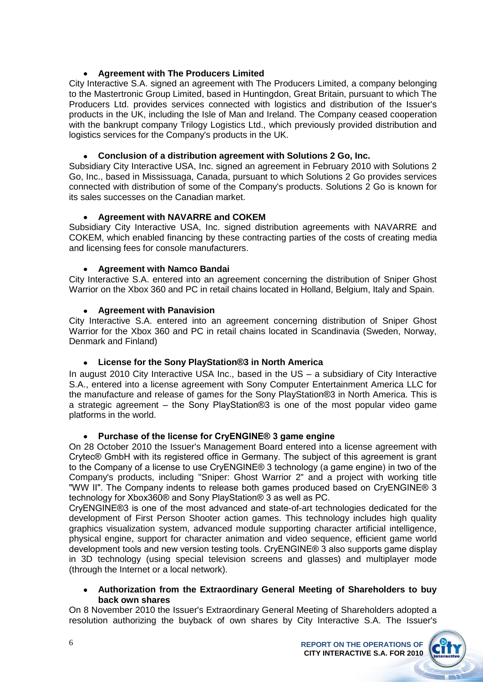### **Agreement with The Producers Limited**

City Interactive S.A. signed an agreement with The Producers Limited, a company belonging to the Mastertronic Group Limited, based in Huntingdon, Great Britain, pursuant to which The Producers Ltd. provides services connected with logistics and distribution of the Issuer's products in the UK, including the Isle of Man and Ireland. The Company ceased cooperation with the bankrupt company Trilogy Logistics Ltd., which previously provided distribution and logistics services for the Company's products in the UK.

### **Conclusion of a distribution agreement with Solutions 2 Go, Inc.**

Subsidiary City Interactive USA, Inc. signed an agreement in February 2010 with Solutions 2 Go, Inc., based in Mississuaga, Canada, pursuant to which Solutions 2 Go provides services connected with distribution of some of the Company's products. Solutions 2 Go is known for its sales successes on the Canadian market.

### **Agreement with NAVARRE and COKEM**

Subsidiary City Interactive USA, Inc. signed distribution agreements with NAVARRE and COKEM, which enabled financing by these contracting parties of the costs of creating media and licensing fees for console manufacturers.

### **Agreement with Namco Bandai**

City Interactive S.A. entered into an agreement concerning the distribution of Sniper Ghost Warrior on the Xbox 360 and PC in retail chains located in Holland, Belgium, Italy and Spain.

### **Agreement with Panavision**

City Interactive S.A. entered into an agreement concerning distribution of Sniper Ghost Warrior for the Xbox 360 and PC in retail chains located in Scandinavia (Sweden, Norway, Denmark and Finland)

### **License for the Sony PlayStation®3 in North America**

In august 2010 City Interactive USA Inc., based in the US – a subsidiary of City Interactive S.A., entered into a license agreement with Sony Computer Entertainment America LLC for the manufacture and release of games for the Sony PlayStation®3 in North America. This is a strategic agreement – the Sony PlayStation®3 is one of the most popular video game platforms in the world.

### **Purchase of the license for CryENGINE® 3 game engine**

On 28 October 2010 the Issuer's Management Board entered into a license agreement with Crytec® GmbH with its registered office in Germany. The subject of this agreement is grant to the Company of a license to use CryENGINE® 3 technology (a game engine) in two of the Company's products, including "Sniper: Ghost Warrior 2" and a project with working title "WW II". The Company indents to release both games produced based on CryENGINE® 3 technology for Xbox360® and Sony PlayStation® 3 as well as PC.

CryENGINE®3 is one of the most advanced and state-of-art technologies dedicated for the development of First Person Shooter action games. This technology includes high quality graphics visualization system, advanced module supporting character artificial intelligence, physical engine, support for character animation and video sequence, efficient game world development tools and new version testing tools. CryENGINE® 3 also supports game display in 3D technology (using special television screens and glasses) and multiplayer mode (through the Internet or a local network).

### **Authorization from the Extraordinary General Meeting of Shareholders to buy back own shares**

On 8 November 2010 the Issuer's Extraordinary General Meeting of Shareholders adopted a resolution authorizing the buyback of own shares by City Interactive S.A. The Issuer's

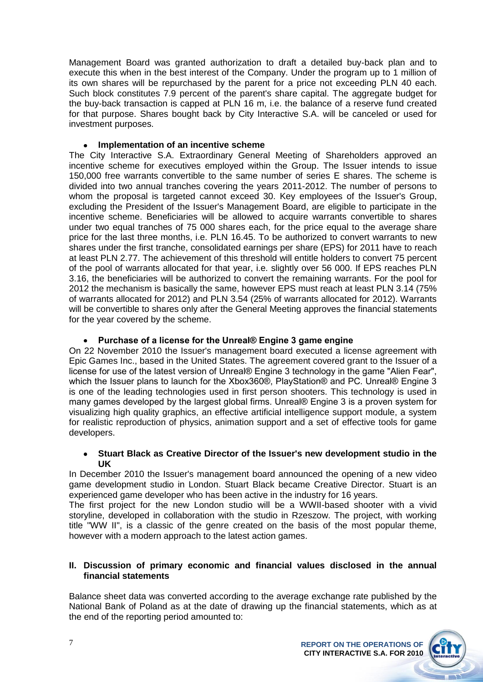Management Board was granted authorization to draft a detailed buy-back plan and to execute this when in the best interest of the Company. Under the program up to 1 million of its own shares will be repurchased by the parent for a price not exceeding PLN 40 each. Such block constitutes 7.9 percent of the parent's share capital. The aggregate budget for the buy-back transaction is capped at PLN 16 m, i.e. the balance of a reserve fund created for that purpose. Shares bought back by City Interactive S.A. will be canceled or used for investment purposes.

### **Implementation of an incentive scheme**

The City Interactive S.A. Extraordinary General Meeting of Shareholders approved an incentive scheme for executives employed within the Group. The Issuer intends to issue 150,000 free warrants convertible to the same number of series E shares. The scheme is divided into two annual tranches covering the years 2011-2012. The number of persons to whom the proposal is targeted cannot exceed 30. Key employees of the Issuer's Group, excluding the President of the Issuer's Management Board, are eligible to participate in the incentive scheme. Beneficiaries will be allowed to acquire warrants convertible to shares under two equal tranches of 75 000 shares each, for the price equal to the average share price for the last three months, i.e. PLN 16.45. To be authorized to convert warrants to new shares under the first tranche, consolidated earnings per share (EPS) for 2011 have to reach at least PLN 2.77. The achievement of this threshold will entitle holders to convert 75 percent of the pool of warrants allocated for that year, i.e. slightly over 56 000. If EPS reaches PLN 3.16, the beneficiaries will be authorized to convert the remaining warrants. For the pool for 2012 the mechanism is basically the same, however EPS must reach at least PLN 3.14 (75% of warrants allocated for 2012) and PLN 3.54 (25% of warrants allocated for 2012). Warrants will be convertible to shares only after the General Meeting approves the financial statements for the year covered by the scheme.

### **Purchase of a license for the Unreal® Engine 3 game engine**

On 22 November 2010 the Issuer's management board executed a license agreement with Epic Games Inc., based in the United States. The agreement covered grant to the Issuer of a license for use of the latest version of Unreal® Engine 3 technology in the game "Alien Fear", which the Issuer plans to launch for the Xbox360®, PlayStation® and PC. Unreal® Engine 3 is one of the leading technologies used in first person shooters. This technology is used in many games developed by the largest global firms. Unreal® Engine 3 is a proven system for visualizing high quality graphics, an effective artificial intelligence support module, a system for realistic reproduction of physics, animation support and a set of effective tools for game developers.

### **Stuart Black as Creative Director of the Issuer's new development studio in the UK**

In December 2010 the Issuer's management board announced the opening of a new video game development studio in London. Stuart Black became Creative Director. Stuart is an experienced game developer who has been active in the industry for 16 years.

The first project for the new London studio will be a WWII-based shooter with a vivid storyline, developed in collaboration with the studio in Rzeszow. The project, with working title "WW II", is a classic of the genre created on the basis of the most popular theme, however with a modern approach to the latest action games.

### **II. Discussion of primary economic and financial values disclosed in the annual financial statements**

Balance sheet data was converted according to the average exchange rate published by the National Bank of Poland as at the date of drawing up the financial statements, which as at the end of the reporting period amounted to:

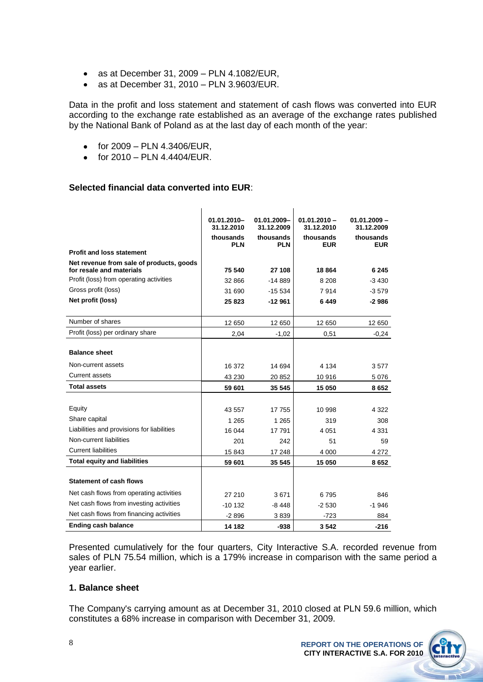- as at December 31, 2009 PLN 4.1082/EUR,  $\bullet$
- as at December 31, 2010 PLN 3.9603/EUR.  $\bullet$

Data in the profit and loss statement and statement of cash flows was converted into EUR according to the exchange rate established as an average of the exchange rates published by the National Bank of Poland as at the last day of each month of the year:

- for 2009 PLN 4.3406/EUR,  $\bullet$
- for 2010 PLN 4.4404/EUR.  $\bullet$

### **Selected financial data converted into EUR**:

|                                                                      | 01.01.2010-<br>31.12.2010<br>thousands<br><b>PLN</b> | 01.01.2009-<br>31.12.2009<br>thousands<br><b>PLN</b> | $01.01.2010 -$<br>31.12.2010<br>thousands<br><b>EUR</b> | $01.01.2009 -$<br>31.12.2009<br>thousands<br><b>EUR</b> |
|----------------------------------------------------------------------|------------------------------------------------------|------------------------------------------------------|---------------------------------------------------------|---------------------------------------------------------|
| <b>Profit and loss statement</b>                                     |                                                      |                                                      |                                                         |                                                         |
| Net revenue from sale of products, goods<br>for resale and materials | 75 540                                               | 27 108                                               | 18 864                                                  | 6 245                                                   |
| Profit (loss) from operating activities                              | 32 866                                               | $-14889$                                             | 8 2 0 8                                                 | $-3430$                                                 |
| Gross profit (loss)                                                  | 31 690                                               | $-15.534$                                            | 7914                                                    | $-3.579$                                                |
| Net profit (loss)                                                    | 25823                                                | $-12961$                                             | 6449                                                    | -2986                                                   |
|                                                                      |                                                      |                                                      |                                                         |                                                         |
| Number of shares                                                     | 12 650                                               | 12 650                                               | 12 650                                                  | 12 650                                                  |
| Profit (loss) per ordinary share                                     | 2,04                                                 | $-1,02$                                              | 0,51                                                    | $-0,24$                                                 |
|                                                                      |                                                      |                                                      |                                                         |                                                         |
| <b>Balance sheet</b>                                                 |                                                      |                                                      |                                                         |                                                         |
| Non-current assets                                                   | 16 372                                               | 14 694                                               | 4 1 3 4                                                 | 3577                                                    |
| <b>Current assets</b>                                                | 43 230                                               | 20 852                                               | 10 916                                                  | 5076                                                    |
| <b>Total assets</b>                                                  | 59 601                                               | 35 545                                               | 15 050                                                  | 8652                                                    |
|                                                                      |                                                      |                                                      |                                                         |                                                         |
| Equity                                                               | 43 557                                               | 17 755                                               | 10 998                                                  | 4 3 2 2                                                 |
| Share capital                                                        | 1 2 6 5                                              | 1 2 6 5                                              | 319                                                     | 308                                                     |
| Liabilities and provisions for liabilities                           | 16 044                                               | 17791                                                | 4 0 5 1                                                 | 4 3 3 1                                                 |
| Non-current liabilities                                              | 201                                                  | 242                                                  | 51                                                      | 59                                                      |
| <b>Current liabilities</b>                                           | 15 843                                               | 17 248                                               | 4 0 0 0                                                 | 4 2 7 2                                                 |
| <b>Total equity and liabilities</b>                                  | 59 601                                               | 35 545                                               | 15 050                                                  | 8652                                                    |
|                                                                      |                                                      |                                                      |                                                         |                                                         |
| <b>Statement of cash flows</b>                                       |                                                      |                                                      |                                                         |                                                         |
| Net cash flows from operating activities                             | 27 210                                               | 3671                                                 | 6795                                                    | 846                                                     |
| Net cash flows from investing activities                             | $-10132$                                             | $-8448$                                              | $-2530$                                                 | $-1946$                                                 |
| Net cash flows from financing activities                             | $-2896$                                              | 3839                                                 | $-723$                                                  | 884                                                     |
| <b>Ending cash balance</b>                                           | 14 182                                               | $-938$                                               | 3542                                                    | $-216$                                                  |

Presented cumulatively for the four quarters, City Interactive S.A. recorded revenue from sales of PLN 75.54 million, which is a 179% increase in comparison with the same period a year earlier.

### **1. Balance sheet**

The Company's carrying amount as at December 31, 2010 closed at PLN 59.6 million, which constitutes a 68% increase in comparison with December 31, 2009.



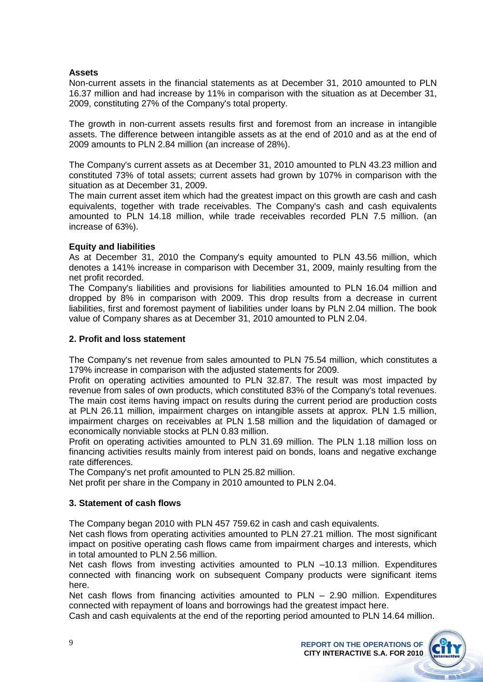### **Assets**

Non-current assets in the financial statements as at December 31, 2010 amounted to PLN 16.37 million and had increase by 11% in comparison with the situation as at December 31, 2009, constituting 27% of the Company's total property.

The growth in non-current assets results first and foremost from an increase in intangible assets. The difference between intangible assets as at the end of 2010 and as at the end of 2009 amounts to PLN 2.84 million (an increase of 28%).

The Company's current assets as at December 31, 2010 amounted to PLN 43.23 million and constituted 73% of total assets; current assets had grown by 107% in comparison with the situation as at December 31, 2009.

The main current asset item which had the greatest impact on this growth are cash and cash equivalents, together with trade receivables. The Company's cash and cash equivalents amounted to PLN 14.18 million, while trade receivables recorded PLN 7.5 million. (an increase of 63%).

### **Equity and liabilities**

As at December 31, 2010 the Company's equity amounted to PLN 43.56 million, which denotes a 141% increase in comparison with December 31, 2009, mainly resulting from the net profit recorded.

The Company's liabilities and provisions for liabilities amounted to PLN 16.04 million and dropped by 8% in comparison with 2009. This drop results from a decrease in current liabilities, first and foremost payment of liabilities under loans by PLN 2.04 million. The book value of Company shares as at December 31, 2010 amounted to PLN 2.04.

### **2. Profit and loss statement**

The Company's net revenue from sales amounted to PLN 75.54 million, which constitutes a 179% increase in comparison with the adjusted statements for 2009.

Profit on operating activities amounted to PLN 32.87. The result was most impacted by revenue from sales of own products, which constituted 83% of the Company's total revenues. The main cost items having impact on results during the current period are production costs at PLN 26.11 million, impairment charges on intangible assets at approx. PLN 1.5 million, impairment charges on receivables at PLN 1.58 million and the liquidation of damaged or economically nonviable stocks at PLN 0.83 million.

Profit on operating activities amounted to PLN 31.69 million. The PLN 1.18 million loss on financing activities results mainly from interest paid on bonds, loans and negative exchange rate differences.

The Company's net profit amounted to PLN 25.82 million.

Net profit per share in the Company in 2010 amounted to PLN 2.04.

### **3. Statement of cash flows**

The Company began 2010 with PLN 457 759.62 in cash and cash equivalents.

Net cash flows from operating activities amounted to PLN 27.21 million. The most significant impact on positive operating cash flows came from impairment charges and interests, which in total amounted to PLN 2.56 million.

Net cash flows from investing activities amounted to PLN –10.13 million. Expenditures connected with financing work on subsequent Company products were significant items here.

Net cash flows from financing activities amounted to PLN – 2.90 million. Expenditures connected with repayment of loans and borrowings had the greatest impact here.

Cash and cash equivalents at the end of the reporting period amounted to PLN 14.64 million.

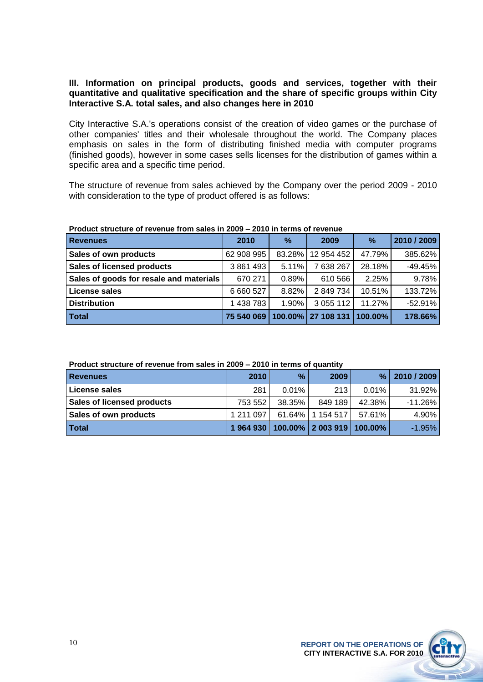### **III. Information on principal products, goods and services, together with their quantitative and qualitative specification and the share of specific groups within City Interactive S.A. total sales, and also changes here in 2010**

City Interactive S.A.'s operations consist of the creation of video games or the purchase of other companies' titles and their wholesale throughout the world. The Company places emphasis on sales in the form of distributing finished media with computer programs (finished goods), however in some cases sells licenses for the distribution of games within a specific area and a specific time period.

The structure of revenue from sales achieved by the Company over the period 2009 - 2010 with consideration to the type of product offered is as follows:

| <b>Revenues</b>                         | 2010       | $\%$    | 2009          | $\%$    | 2010 / 2009 |
|-----------------------------------------|------------|---------|---------------|---------|-------------|
| Sales of own products                   | 62 908 995 | 83.28%  | 12 954 452    | 47.79%  | 385.62%     |
| <b>Sales of licensed products</b>       | 3861493    | 5.11%   | 7638267       | 28.18%  | $-49.45%$   |
| Sales of goods for resale and materials | 670 271    | 0.89%   | 610 566       | 2.25%   | 9.78%       |
| License sales                           | 6 660 527  | 8.82%   | 2849734       | 10.51%  | 133.72%     |
| <b>Distribution</b>                     | 1 438 783  | 1.90%   | 3 0 5 1 1 1 2 | 11.27%  | $-52.91%$   |
| <b>Total</b>                            | 75 540 069 | 100.00% | 27 108 131    | 100.00% | 178.66%     |

### **Product structure of revenue from sales in 2009 – 2010 in terms of revenue**

### **Product structure of revenue from sales in 2009 – 2010 in terms of quantity**

| <b>Revenues</b>                   | 2010      | %      | 2009                      | $\frac{9}{6}$ | 2010 / 2009 |
|-----------------------------------|-----------|--------|---------------------------|---------------|-------------|
| License sales                     | 281       | 0.01%  | 213                       | $0.01\%$      | 31.92%      |
| <b>Sales of licensed products</b> | 753 552   | 38.35% | 849 189                   | 42.38%        | $-11.26\%$  |
| Sales of own products             | 1 211 097 |        | 61.64%   1 154 517        | 57.61%        | 4.90%       |
| <b>Total</b>                      | 1964930   |        | 100.00% 2 003 919 100.00% |               | $-1.95%$    |

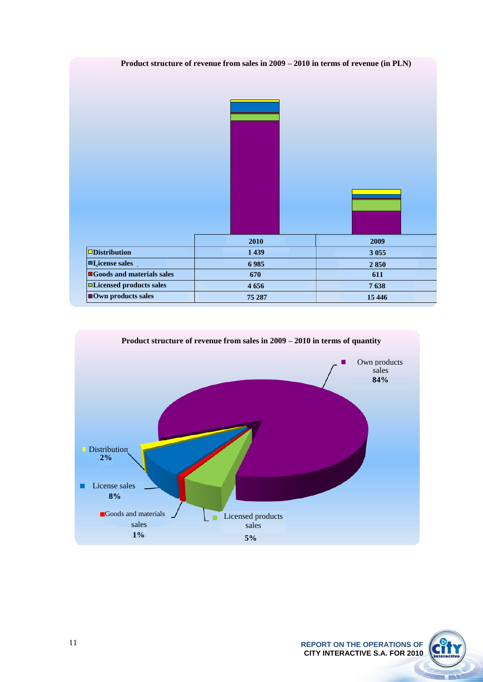



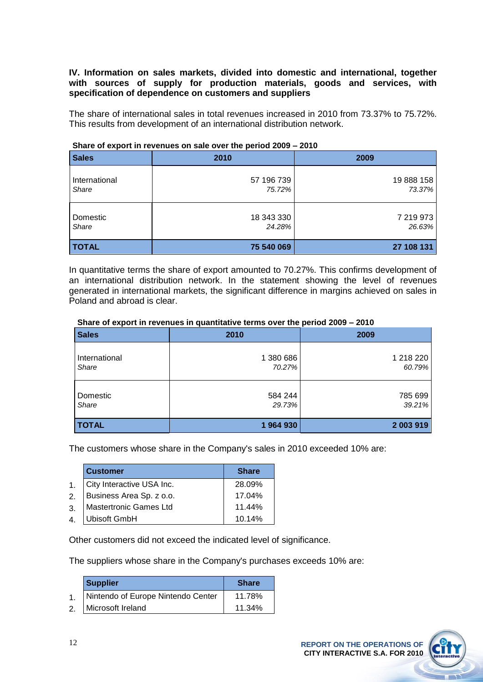### **IV. Information on sales markets, divided into domestic and international, together with sources of supply for production materials, goods and services, with specification of dependence on customers and suppliers**

The share of international sales in total revenues increased in 2010 from 73.37% to 75.72%. This results from development of an international distribution network.

| <b>Sales</b>  | 2010       | 2009       |
|---------------|------------|------------|
| International | 57 196 739 | 19 888 158 |
| Share         | 75.72%     | 73.37%     |
| Domestic      | 18 343 330 | 7 219 973  |
| Share         | 24.28%     | 26.63%     |
| <b>TOTAL</b>  | 75 540 069 | 27 108 131 |

### **Share of export in revenues on sale over the period 2009 – 2010**

In quantitative terms the share of export amounted to 70.27%. This confirms development of an international distribution network. In the statement showing the level of revenues generated in international markets, the significant difference in margins achieved on sales in Poland and abroad is clear.

### **Share of export in revenues in quantitative terms over the period 2009 – 2010**

| <b>Sales</b>  | 2010      | 2009      |
|---------------|-----------|-----------|
| International | 1 380 686 | 1 218 220 |
| Share         | 70.27%    | 60.79%    |
| Domestic      | 584 244   | 785 699   |
| Share         | 29.73%    | 39.21%    |
| <b>TOTAL</b>  | 1964930   | 2 003 919 |

The customers whose share in the Company's sales in 2010 exceeded 10% are:

|                | <b>Customer</b>           | <b>Share</b> |
|----------------|---------------------------|--------------|
| $\mathbf{1}$   | City Interactive USA Inc. | 28.09%       |
| 2.             | Business Area Sp. z o.o.  | 17.04%       |
| 3.             | Mastertronic Games Ltd    | 11.44%       |
| $\overline{4}$ | <b>Ubisoft GmbH</b>       | 10.14%       |

Other customers did not exceed the indicated level of significance.

The suppliers whose share in the Company's purchases exceeds 10% are:

| <b>Supplier</b>                    | <b>Share</b> |
|------------------------------------|--------------|
| Nintendo of Europe Nintendo Center | 11.78%       |
| 2. Microsoft Ireland               | 11.34%       |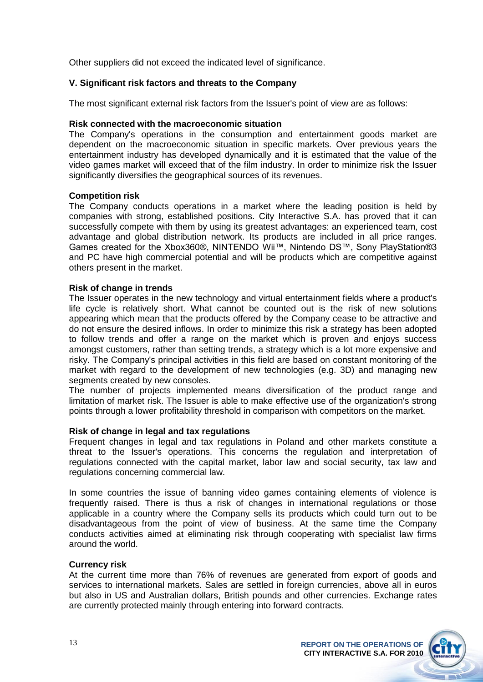Other suppliers did not exceed the indicated level of significance.

### **V. Significant risk factors and threats to the Company**

The most significant external risk factors from the Issuer's point of view are as follows:

### **Risk connected with the macroeconomic situation**

The Company's operations in the consumption and entertainment goods market are dependent on the macroeconomic situation in specific markets. Over previous years the entertainment industry has developed dynamically and it is estimated that the value of the video games market will exceed that of the film industry. In order to minimize risk the Issuer significantly diversifies the geographical sources of its revenues.

### **Competition risk**

The Company conducts operations in a market where the leading position is held by companies with strong, established positions. City Interactive S.A. has proved that it can successfully compete with them by using its greatest advantages: an experienced team, cost advantage and global distribution network. Its products are included in all price ranges. Games created for the Xbox360®, NINTENDO Wii™, Nintendo DS™, Sony PlayStation®3 and PC have high commercial potential and will be products which are competitive against others present in the market.

### **Risk of change in trends**

The Issuer operates in the new technology and virtual entertainment fields where a product's life cycle is relatively short. What cannot be counted out is the risk of new solutions appearing which mean that the products offered by the Company cease to be attractive and do not ensure the desired inflows. In order to minimize this risk a strategy has been adopted to follow trends and offer a range on the market which is proven and enjoys success amongst customers, rather than setting trends, a strategy which is a lot more expensive and risky. The Company's principal activities in this field are based on constant monitoring of the market with regard to the development of new technologies (e.g. 3D) and managing new segments created by new consoles.

The number of projects implemented means diversification of the product range and limitation of market risk. The Issuer is able to make effective use of the organization's strong points through a lower profitability threshold in comparison with competitors on the market.

### **Risk of change in legal and tax regulations**

Frequent changes in legal and tax regulations in Poland and other markets constitute a threat to the Issuer's operations. This concerns the regulation and interpretation of regulations connected with the capital market, labor law and social security, tax law and regulations concerning commercial law.

In some countries the issue of banning video games containing elements of violence is frequently raised. There is thus a risk of changes in international regulations or those applicable in a country where the Company sells its products which could turn out to be disadvantageous from the point of view of business. At the same time the Company conducts activities aimed at eliminating risk through cooperating with specialist law firms around the world.

### **Currency risk**

At the current time more than 76% of revenues are generated from export of goods and services to international markets. Sales are settled in foreign currencies, above all in euros but also in US and Australian dollars, British pounds and other currencies. Exchange rates are currently protected mainly through entering into forward contracts.

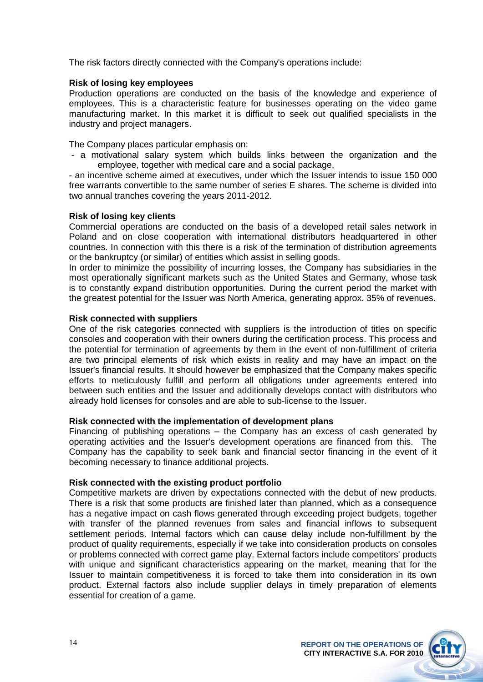The risk factors directly connected with the Company's operations include:

### **Risk of losing key employees**

Production operations are conducted on the basis of the knowledge and experience of employees. This is a characteristic feature for businesses operating on the video game manufacturing market. In this market it is difficult to seek out qualified specialists in the industry and project managers.

The Company places particular emphasis on:

- a motivational salary system which builds links between the organization and the employee, together with medical care and a social package,

- an incentive scheme aimed at executives, under which the Issuer intends to issue 150 000 free warrants convertible to the same number of series E shares. The scheme is divided into two annual tranches covering the years 2011-2012.

### **Risk of losing key clients**

Commercial operations are conducted on the basis of a developed retail sales network in Poland and on close cooperation with international distributors headquartered in other countries. In connection with this there is a risk of the termination of distribution agreements or the bankruptcy (or similar) of entities which assist in selling goods.

In order to minimize the possibility of incurring losses, the Company has subsidiaries in the most operationally significant markets such as the United States and Germany, whose task is to constantly expand distribution opportunities. During the current period the market with the greatest potential for the Issuer was North America, generating approx. 35% of revenues.

### **Risk connected with suppliers**

One of the risk categories connected with suppliers is the introduction of titles on specific consoles and cooperation with their owners during the certification process. This process and the potential for termination of agreements by them in the event of non-fulfillment of criteria are two principal elements of risk which exists in reality and may have an impact on the Issuer's financial results. It should however be emphasized that the Company makes specific efforts to meticulously fulfill and perform all obligations under agreements entered into between such entities and the Issuer and additionally develops contact with distributors who already hold licenses for consoles and are able to sub-license to the Issuer.

### **Risk connected with the implementation of development plans**

Financing of publishing operations – the Company has an excess of cash generated by operating activities and the Issuer's development operations are financed from this. The Company has the capability to seek bank and financial sector financing in the event of it becoming necessary to finance additional projects.

### **Risk connected with the existing product portfolio**

Competitive markets are driven by expectations connected with the debut of new products. There is a risk that some products are finished later than planned, which as a consequence has a negative impact on cash flows generated through exceeding project budgets, together with transfer of the planned revenues from sales and financial inflows to subsequent settlement periods. Internal factors which can cause delay include non-fulfillment by the product of quality requirements, especially if we take into consideration products on consoles or problems connected with correct game play. External factors include competitors' products with unique and significant characteristics appearing on the market, meaning that for the Issuer to maintain competitiveness it is forced to take them into consideration in its own product. External factors also include supplier delays in timely preparation of elements essential for creation of a game.

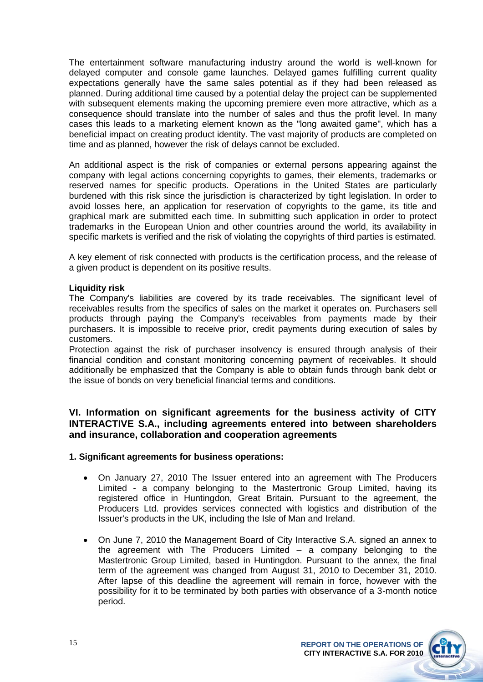The entertainment software manufacturing industry around the world is well-known for delayed computer and console game launches. Delayed games fulfilling current quality expectations generally have the same sales potential as if they had been released as planned. During additional time caused by a potential delay the project can be supplemented with subsequent elements making the upcoming premiere even more attractive, which as a consequence should translate into the number of sales and thus the profit level. In many cases this leads to a marketing element known as the "long awaited game", which has a beneficial impact on creating product identity. The vast majority of products are completed on time and as planned, however the risk of delays cannot be excluded.

An additional aspect is the risk of companies or external persons appearing against the company with legal actions concerning copyrights to games, their elements, trademarks or reserved names for specific products. Operations in the United States are particularly burdened with this risk since the jurisdiction is characterized by tight legislation. In order to avoid losses here, an application for reservation of copyrights to the game, its title and graphical mark are submitted each time. In submitting such application in order to protect trademarks in the European Union and other countries around the world, its availability in specific markets is verified and the risk of violating the copyrights of third parties is estimated.

A key element of risk connected with products is the certification process, and the release of a given product is dependent on its positive results.

### **Liquidity risk**

The Company's liabilities are covered by its trade receivables. The significant level of receivables results from the specifics of sales on the market it operates on. Purchasers sell products through paying the Company's receivables from payments made by their purchasers. It is impossible to receive prior, credit payments during execution of sales by customers.

Protection against the risk of purchaser insolvency is ensured through analysis of their financial condition and constant monitoring concerning payment of receivables. It should additionally be emphasized that the Company is able to obtain funds through bank debt or the issue of bonds on very beneficial financial terms and conditions.

### **VI. Information on significant agreements for the business activity of CITY INTERACTIVE S.A., including agreements entered into between shareholders and insurance, collaboration and cooperation agreements**

### **1. Significant agreements for business operations:**

- $\bullet$ On January 27, 2010 The Issuer entered into an agreement with The Producers Limited - a company belonging to the Mastertronic Group Limited, having its registered office in Huntingdon, Great Britain. Pursuant to the agreement, the Producers Ltd. provides services connected with logistics and distribution of the Issuer's products in the UK, including the Isle of Man and Ireland.
- On June 7, 2010 the Management Board of City Interactive S.A. signed an annex to the agreement with The Producers Limited – a company belonging to the Mastertronic Group Limited, based in Huntingdon. Pursuant to the annex, the final term of the agreement was changed from August 31, 2010 to December 31, 2010. After lapse of this deadline the agreement will remain in force, however with the possibility for it to be terminated by both parties with observance of a 3-month notice period.

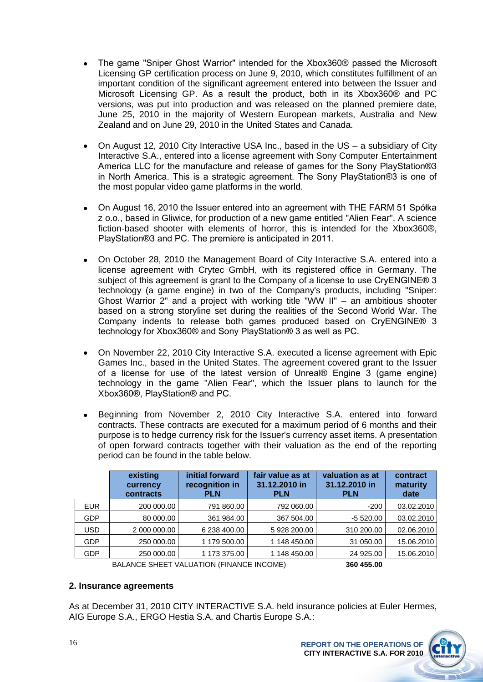- The game "Sniper Ghost Warrior" intended for the Xbox360® passed the Microsoft Licensing GP certification process on June 9, 2010, which constitutes fulfillment of an important condition of the significant agreement entered into between the Issuer and Microsoft Licensing GP. As a result the product, both in its Xbox360® and PC versions, was put into production and was released on the planned premiere date, June 25, 2010 in the majority of Western European markets, Australia and New Zealand and on June 29, 2010 in the United States and Canada.
- On August 12, 2010 City Interactive USA Inc., based in the US a subsidiary of City Interactive S.A., entered into a license agreement with Sony Computer Entertainment America LLC for the manufacture and release of games for the Sony PlayStation®3 in North America. This is a strategic agreement. The Sony PlayStation®3 is one of the most popular video game platforms in the world.
- On August 16, 2010 the Issuer entered into an agreement with THE FARM 51 Spółka z o.o., based in Gliwice, for production of a new game entitled "Alien Fear". A science fiction-based shooter with elements of horror, this is intended for the Xbox360®, PlayStation®3 and PC. The premiere is anticipated in 2011.
- On October 28, 2010 the Management Board of City Interactive S.A. entered into a  $\bullet$ license agreement with Crytec GmbH, with its registered office in Germany. The subject of this agreement is grant to the Company of a license to use CryENGINE® 3 technology (a game engine) in two of the Company's products, including "Sniper: Ghost Warrior 2" and a project with working title "WW II" – an ambitious shooter based on a strong storyline set during the realities of the Second World War. The Company indents to release both games produced based on CryENGINE® 3 technology for Xbox360® and Sony PlayStation® 3 as well as PC.
- On November 22, 2010 City Interactive S.A. executed a license agreement with Epic Games Inc., based in the United States. The agreement covered grant to the Issuer of a license for use of the latest version of Unreal® Engine 3 (game engine) technology in the game "Alien Fear", which the Issuer plans to launch for the Xbox360®, PlayStation® and PC.
- Beginning from November 2, 2010 City Interactive S.A. entered into forward contracts. These contracts are executed for a maximum period of 6 months and their purpose is to hedge currency risk for the Issuer's currency asset items. A presentation of open forward contracts together with their valuation as the end of the reporting period can be found in the table below.

|            | existing<br>currency<br>contracts | initial forward<br>recognition in<br><b>PLN</b> | fair value as at<br>31.12.2010 in<br><b>PLN</b> | valuation as at<br>31.12.2010 in<br><b>PLN</b> | contract<br>maturity<br>date |
|------------|-----------------------------------|-------------------------------------------------|-------------------------------------------------|------------------------------------------------|------------------------------|
| <b>EUR</b> | 200 000.00                        | 791 860.00                                      | 792 060.00                                      | $-200$                                         | 03.02.2010                   |
| <b>GDP</b> | 80 000,00                         | 361 984.00                                      | 367 504.00                                      | $-5520.00$                                     | 03.02.2010                   |
| <b>USD</b> | 2 000 000.00                      | 6 238 400.00                                    | 5 928 200.00                                    | 310 200.00                                     | 02.06.2010                   |
| <b>GDP</b> | 250 000.00                        | 1 179 500.00                                    | 1 148 450.00                                    | 31 050.00                                      | 15.06.2010                   |
| <b>GDP</b> | 250 000.00                        | 1 173 375.00                                    | 1 148 450.00                                    | 24 925.00                                      | 15.06.2010                   |
|            |                                   |                                                 |                                                 |                                                |                              |

BALANCE SHEET VALUATION (FINANCE INCOME) **360 455.00**

### **2. Insurance agreements**

As at December 31, 2010 CITY INTERACTIVE S.A. held insurance policies at Euler Hermes, AIG Europe S.A., ERGO Hestia S.A. and Chartis Europe S.A.: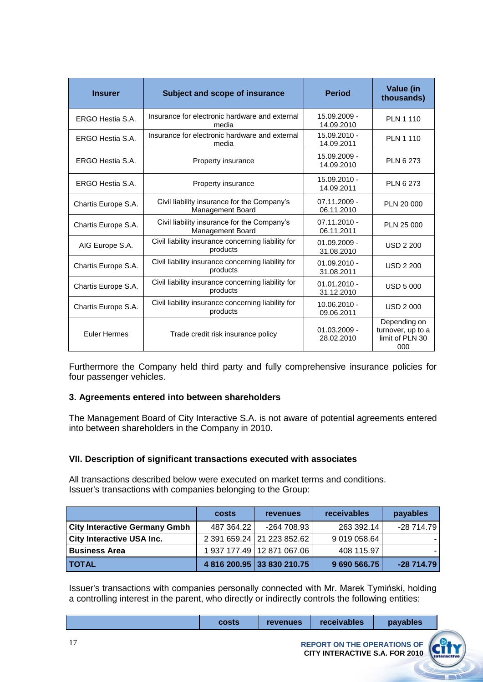| <b>Insurer</b>      | Subject and scope of insurance                                         | <b>Period</b>                | Value (in<br>thousands)                                     |
|---------------------|------------------------------------------------------------------------|------------------------------|-------------------------------------------------------------|
| ERGO Hestia S.A.    | Insurance for electronic hardware and external<br>media                | 15.09.2009 -<br>14.09.2010   | <b>PLN 1 110</b>                                            |
| ERGO Hestia S.A.    | Insurance for electronic hardware and external<br>media                | 15.09.2010 -<br>14.09.2011   | <b>PLN 1 110</b>                                            |
| ERGO Hestia S.A.    | Property insurance                                                     | 15.09.2009 -<br>14.09.2010   | <b>PLN 6 273</b>                                            |
| ERGO Hestia S.A.    | Property insurance                                                     | 15.09.2010 -<br>14.09.2011   | <b>PLN 6 273</b>                                            |
| Chartis Europe S.A. | Civil liability insurance for the Company's<br><b>Management Board</b> | 07.11.2009 -<br>06.11.2010   | PLN 20 000                                                  |
| Chartis Europe S.A. | Civil liability insurance for the Company's<br><b>Management Board</b> | $07.11.2010 -$<br>06.11.2011 | PLN 25 000                                                  |
| AIG Europe S.A.     | Civil liability insurance concerning liability for<br>products         | $01.09.2009 -$<br>31.08.2010 | <b>USD 2 200</b>                                            |
| Chartis Europe S.A. | Civil liability insurance concerning liability for<br>products         | $01.09.2010 -$<br>31.08.2011 | <b>USD 2 200</b>                                            |
| Chartis Europe S.A. | Civil liability insurance concerning liability for<br>products         | $01.01.2010 -$<br>31.12.2010 | <b>USD 5 000</b>                                            |
| Chartis Europe S.A. | Civil liability insurance concerning liability for<br>products         | 10.06.2010 -<br>09.06.2011   | <b>USD 2000</b>                                             |
| <b>Euler Hermes</b> | Trade credit risk insurance policy                                     | $01.03.2009 -$<br>28.02.2010 | Depending on<br>turnover, up to a<br>limit of PLN 30<br>000 |

Furthermore the Company held third party and fully comprehensive insurance policies for four passenger vehicles.

### **3. Agreements entered into between shareholders**

The Management Board of City Interactive S.A. is not aware of potential agreements entered into between shareholders in the Company in 2010.

### **VII. Description of significant transactions executed with associates**

All transactions described below were executed on market terms and conditions. Issuer's transactions with companies belonging to the Group:

|                                      | costs      | <b>revenues</b>              | <b>receivables</b> | payables    |
|--------------------------------------|------------|------------------------------|--------------------|-------------|
| <b>City Interactive Germany Gmbh</b> | 487 364.22 | -264 708.93                  | 263 392.14         | $-28714.79$ |
| <b>City Interactive USA Inc.</b>     |            | 2 391 659.24 21 223 852.62   | 9 019 058.64       |             |
| <b>Business Area</b>                 |            | 1 937 177.49   12 871 067.06 | 408 115.97         |             |
| <b>I TOTAL</b>                       |            | 4 816 200.95 33 830 210.75   | 9 690 566.75       | $-28714.79$ |

Issuer's transactions with companies personally connected with Mr. Marek Tymiński, holding a controlling interest in the parent, who directly or indirectly controls the following entities:

| costs | <b>revenues</b> | receivables                 | payables |  |
|-------|-----------------|-----------------------------|----------|--|
|       |                 | REPORT ON THE OPERATIONS OF |          |  |

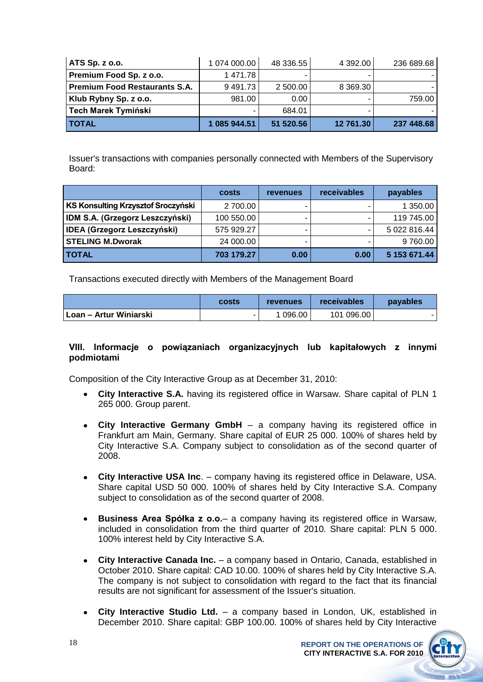| ATS Sp. z o.o.                       | 1 074 000.00 | 48 336.55         | 4 392.00      | 236 689.68 |
|--------------------------------------|--------------|-------------------|---------------|------------|
| Premium Food Sp. z o.o.              | 1 471.78     | ۰                 |               |            |
| <b>Premium Food Restaurants S.A.</b> | 9491.73      | 2 500.00          | 8 3 6 9 . 3 0 |            |
| Klub Rybny Sp. z o.o.                | 981.00       | 0.00 <sub>1</sub> |               | 759.00     |
| <b>Tech Marek Tymiński</b>           |              | 684.01            |               |            |
| <b>TOTAL</b>                         | 1 085 944.51 | 51 520.56         | 12 761.30     | 237 448.68 |

Issuer's transactions with companies personally connected with Members of the Supervisory Board:

|                                        | costs      | <b>revenues</b> | receivables | payables     |
|----------------------------------------|------------|-----------------|-------------|--------------|
| KS Konsulting Krzysztof Sroczyński     | 2700.00    | ۰               |             | 1 350.00     |
| <b>IDM S.A. (Grzegorz Leszczyński)</b> | 100 550.00 | ۰               |             | 119 745.00   |
| <b>IDEA (Grzegorz Leszczyński)</b>     | 575 929.27 | -               |             | 5 022 816.44 |
| <b>STELING M.Dworak</b>                | 24 000.00  | -               |             | 9760.00      |
| <b>TOTAL</b>                           | 703 179.27 | 0.00            | 0.00        | 5 153 671.44 |

Transactions executed directly with Members of the Management Board

|                          | costs | revenues | receivables | payables |
|--------------------------|-------|----------|-------------|----------|
| ∣ Loan – Artur Winiarski | -     | 1 096.00 | 101 096.00  |          |

### **VIII. Informacje o powiązaniach organizacyjnych lub kapitałowych z innymi podmiotami**

Composition of the City Interactive Group as at December 31, 2010:

- **City Interactive S.A.** having its registered office in Warsaw. Share capital of PLN 1 265 000. Group parent.
- **City Interactive Germany GmbH** a company having its registered office in Frankfurt am Main, Germany. Share capital of EUR 25 000. 100% of shares held by City Interactive S.A. Company subject to consolidation as of the second quarter of 2008.
- **City Interactive USA Inc**. company having its registered office in Delaware, USA. Share capital USD 50 000. 100% of shares held by City Interactive S.A. Company subject to consolidation as of the second quarter of 2008.
- **Business Area Spółka z o.o.** a company having its registered office in Warsaw, included in consolidation from the third quarter of 2010. Share capital: PLN 5 000. 100% interest held by City Interactive S.A.
- **City Interactive Canada Inc.**  a company based in Ontario, Canada, established in October 2010. Share capital: CAD 10.00. 100% of shares held by City Interactive S.A. The company is not subject to consolidation with regard to the fact that its financial results are not significant for assessment of the Issuer's situation.
- **City Interactive Studio Ltd.**  a company based in London, UK, established in December 2010. Share capital: GBP 100.00. 100% of shares held by City Interactive

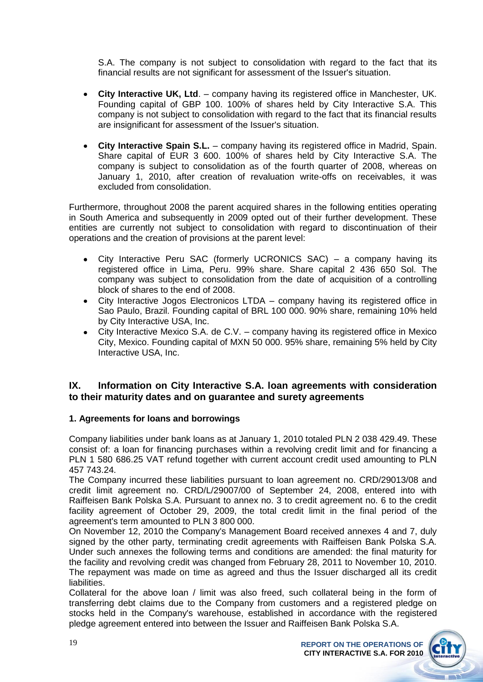S.A. The company is not subject to consolidation with regard to the fact that its financial results are not significant for assessment of the Issuer's situation.

- **City Interactive UK, Ltd**. company having its registered office in Manchester, UK. Founding capital of GBP 100. 100% of shares held by City Interactive S.A. This company is not subject to consolidation with regard to the fact that its financial results are insignificant for assessment of the Issuer's situation.
- **City Interactive Spain S.L.** company having its registered office in Madrid, Spain. Share capital of EUR 3 600. 100% of shares held by City Interactive S.A. The company is subject to consolidation as of the fourth quarter of 2008, whereas on January 1, 2010, after creation of revaluation write-offs on receivables, it was excluded from consolidation.

Furthermore, throughout 2008 the parent acquired shares in the following entities operating in South America and subsequently in 2009 opted out of their further development. These entities are currently not subject to consolidation with regard to discontinuation of their operations and the creation of provisions at the parent level:

- City Interactive Peru SAC (formerly UCRONICS SAC) a company having its registered office in Lima, Peru. 99% share. Share capital 2 436 650 Sol. The company was subject to consolidation from the date of acquisition of a controlling block of shares to the end of 2008.
- City Interactive Jogos Electronicos LTDA company having its registered office in Sao Paulo, Brazil. Founding capital of BRL 100 000. 90% share, remaining 10% held by City Interactive USA, Inc.
- City Interactive Mexico S.A. de C.V. company having its registered office in Mexico City, Mexico. Founding capital of MXN 50 000. 95% share, remaining 5% held by City Interactive USA, Inc.

### **IX. Information on City Interactive S.A. loan agreements with consideration to their maturity dates and on guarantee and surety agreements**

### **1. Agreements for loans and borrowings**

Company liabilities under bank loans as at January 1, 2010 totaled PLN 2 038 429.49. These consist of: a loan for financing purchases within a revolving credit limit and for financing a PLN 1 580 686.25 VAT refund together with current account credit used amounting to PLN 457 743.24.

The Company incurred these liabilities pursuant to loan agreement no. CRD/29013/08 and credit limit agreement no. CRD/L/29007/00 of September 24, 2008, entered into with Raiffeisen Bank Polska S.A. Pursuant to annex no. 3 to credit agreement no. 6 to the credit facility agreement of October 29, 2009, the total credit limit in the final period of the agreement's term amounted to PLN 3 800 000.

On November 12, 2010 the Company's Management Board received annexes 4 and 7, duly signed by the other party, terminating credit agreements with Raiffeisen Bank Polska S.A. Under such annexes the following terms and conditions are amended: the final maturity for the facility and revolving credit was changed from February 28, 2011 to November 10, 2010. The repayment was made on time as agreed and thus the Issuer discharged all its credit liabilities.

Collateral for the above loan / limit was also freed, such collateral being in the form of transferring debt claims due to the Company from customers and a registered pledge on stocks held in the Company's warehouse, established in accordance with the registered pledge agreement entered into between the Issuer and Raiffeisen Bank Polska S.A.

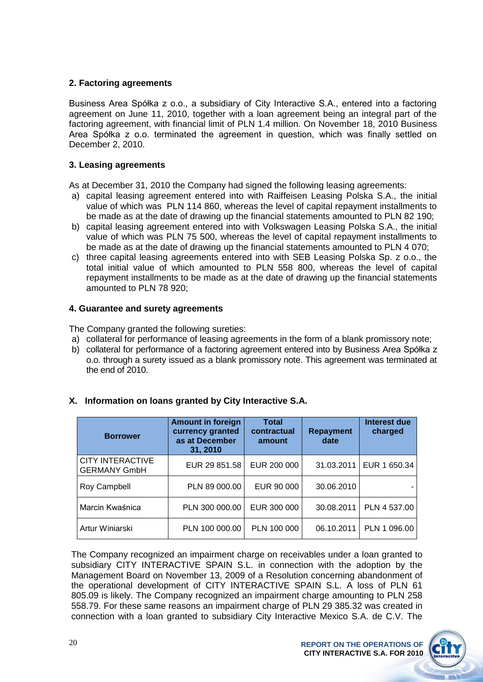### **2. Factoring agreements**

Business Area Spółka z o.o., a subsidiary of City Interactive S.A., entered into a factoring agreement on June 11, 2010, together with a loan agreement being an integral part of the factoring agreement, with financial limit of PLN 1.4 million. On November 18, 2010 Business Area Spółka z o.o. terminated the agreement in question, which was finally settled on December 2, 2010.

### **3. Leasing agreements**

As at December 31, 2010 the Company had signed the following leasing agreements:

- a) capital leasing agreement entered into with Raiffeisen Leasing Polska S.A., the initial value of which was PLN 114 860, whereas the level of capital repayment installments to be made as at the date of drawing up the financial statements amounted to PLN 82 190;
- b) capital leasing agreement entered into with Volkswagen Leasing Polska S.A., the initial value of which was PLN 75 500, whereas the level of capital repayment installments to be made as at the date of drawing up the financial statements amounted to PLN 4 070;
- c) three capital leasing agreements entered into with SEB Leasing Polska Sp. z o.o., the total initial value of which amounted to PLN 558 800, whereas the level of capital repayment installments to be made as at the date of drawing up the financial statements amounted to PLN 78 920;

### **4. Guarantee and surety agreements**

The Company granted the following sureties:

- a) collateral for performance of leasing agreements in the form of a blank promissory note;
- b) collateral for performance of a factoring agreement entered into by Business Area Spółka z o.o. through a surety issued as a blank promissory note. This agreement was terminated at the end of 2010.

| <b>Borrower</b>                                | <b>Amount in foreign</b><br>currency granted<br>as at December<br>31, 2010 | <b>Total</b><br>contractual<br>amount | <b>Repayment</b><br>date | Interest due<br>charged |
|------------------------------------------------|----------------------------------------------------------------------------|---------------------------------------|--------------------------|-------------------------|
| <b>CITY INTERACTIVE</b><br><b>GERMANY GmbH</b> | EUR 29 851.58                                                              | EUR 200 000                           | 31.03.2011               | EUR 1 650.34            |
| Roy Campbell                                   | PLN 89 000.00                                                              | EUR 90 000                            | 30.06.2010               |                         |
| Marcin Kwaśnica                                | PLN 300 000.00                                                             | EUR 300 000                           | 30.08.2011               | PLN 4 537.00            |
| Artur Winiarski                                | PLN 100 000.00                                                             | PLN 100 000                           | 06.10.2011               | PLN 1 096.00            |

### **X. Information on loans granted by City Interactive S.A.**

The Company recognized an impairment charge on receivables under a loan granted to subsidiary CITY INTERACTIVE SPAIN S.L. in connection with the adoption by the Management Board on November 13, 2009 of a Resolution concerning abandonment of the operational development of CITY INTERACTIVE SPAIN S.L. A loss of PLN 61 805.09 is likely. The Company recognized an impairment charge amounting to PLN 258 558.79. For these same reasons an impairment charge of PLN 29 385.32 was created in connection with a loan granted to subsidiary City Interactive Mexico S.A. de C.V. The

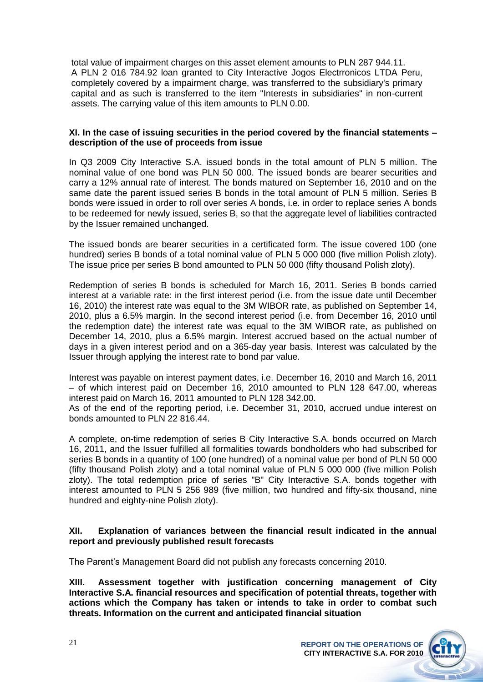total value of impairment charges on this asset element amounts to PLN 287 944.11. A PLN 2 016 784.92 loan granted to City Interactive Jogos Electrronicos LTDA Peru, completely covered by a impairment charge, was transferred to the subsidiary's primary capital and as such is transferred to the item "Interests in subsidiaries" in non-current assets. The carrying value of this item amounts to PLN 0.00.

### **XI. In the case of issuing securities in the period covered by the financial statements – description of the use of proceeds from issue**

In Q3 2009 City Interactive S.A. issued bonds in the total amount of PLN 5 million. The nominal value of one bond was PLN 50 000. The issued bonds are bearer securities and carry a 12% annual rate of interest. The bonds matured on September 16, 2010 and on the same date the parent issued series B bonds in the total amount of PLN 5 million. Series B bonds were issued in order to roll over series A bonds, i.e. in order to replace series A bonds to be redeemed for newly issued, series B, so that the aggregate level of liabilities contracted by the Issuer remained unchanged.

The issued bonds are bearer securities in a certificated form. The issue covered 100 (one hundred) series B bonds of a total nominal value of PLN 5 000 000 (five million Polish zloty). The issue price per series B bond amounted to PLN 50 000 (fifty thousand Polish zloty).

Redemption of series B bonds is scheduled for March 16, 2011. Series B bonds carried interest at a variable rate: in the first interest period (i.e. from the issue date until December 16, 2010) the interest rate was equal to the 3M WIBOR rate, as published on September 14, 2010, plus a 6.5% margin. In the second interest period (i.e. from December 16, 2010 until the redemption date) the interest rate was equal to the 3M WIBOR rate, as published on December 14, 2010, plus a 6.5% margin. Interest accrued based on the actual number of days in a given interest period and on a 365-day year basis. Interest was calculated by the Issuer through applying the interest rate to bond par value.

Interest was payable on interest payment dates, i.e. December 16, 2010 and March 16, 2011 – of which interest paid on December 16, 2010 amounted to PLN 128 647.00, whereas interest paid on March 16, 2011 amounted to PLN 128 342.00.

As of the end of the reporting period, i.e. December 31, 2010, accrued undue interest on bonds amounted to PLN 22 816.44.

A complete, on-time redemption of series B City Interactive S.A. bonds occurred on March 16, 2011, and the Issuer fulfilled all formalities towards bondholders who had subscribed for series B bonds in a quantity of 100 (one hundred) of a nominal value per bond of PLN 50 000 (fifty thousand Polish zloty) and a total nominal value of PLN 5 000 000 (five million Polish zloty). The total redemption price of series "B" City Interactive S.A. bonds together with interest amounted to PLN 5 256 989 (five million, two hundred and fifty-six thousand, nine hundred and eighty-nine Polish zloty).

### **XII. Explanation of variances between the financial result indicated in the annual report and previously published result forecasts**

The Parent's Management Board did not publish any forecasts concerning 2010.

**XIII. Assessment together with justification concerning management of City Interactive S.A. financial resources and specification of potential threats, together with actions which the Company has taken or intends to take in order to combat such threats. Information on the current and anticipated financial situation**

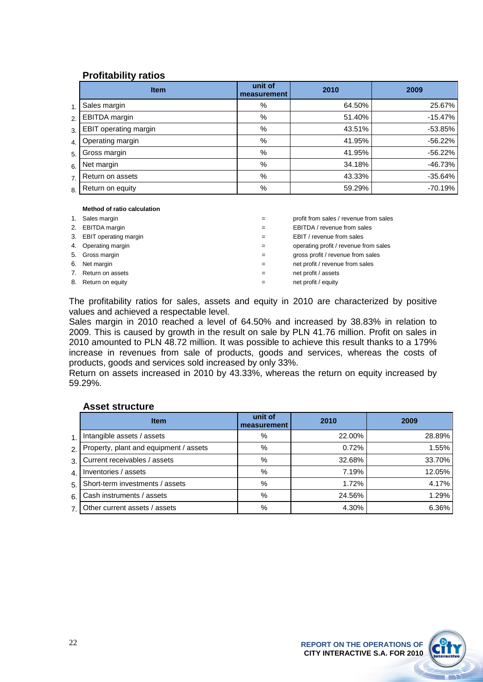### **Profitability ratios**

|                  | <b>Item</b>                  | unit of<br>measurement | 2010   | 2009      |
|------------------|------------------------------|------------------------|--------|-----------|
| $\mathbf{1}$ .   | Sales margin                 | %                      | 64.50% | 25.67%    |
| 2.               | EBITDA margin                | %                      | 51.40% | $-15.47%$ |
| $\overline{3}$   | <b>EBIT</b> operating margin | %                      | 43.51% | $-53.85%$ |
| $\overline{4}$ . | Operating margin             | %                      | 41.95% | $-56.22%$ |
| 5.               | Gross margin                 | %                      | 41.95% | $-56.22%$ |
| 6.               | Net margin                   | %                      | 34.18% | -46.73%   |
| 7.               | Return on assets             | %                      | 43.33% | $-35.64%$ |
| 8.               | Return on equity             | %                      | 59.29% | $-70.19%$ |

### **Method of ratio calculation**

| 1. | Sales margin             | profit from sales / revenue from sales |
|----|--------------------------|----------------------------------------|
|    | 2. EBITDA margin         | EBITDA / revenue from sales            |
|    | 3. EBIT operating margin | EBIT / revenue from sales              |
|    | 4. Operating margin      | operating profit / revenue from sales  |
|    | 5. Gross margin          | gross profit / revenue from sales      |
|    | 6. Net margin            | net profit / revenue from sales        |
| 7. | Return on assets         | net profit / assets                    |
|    | 8. Return on equity      | net profit / equity                    |

The profitability ratios for sales, assets and equity in 2010 are characterized by positive values and achieved a respectable level.

Sales margin in 2010 reached a level of 64.50% and increased by 38.83% in relation to 2009. This is caused by growth in the result on sale by PLN 41.76 million. Profit on sales in 2010 amounted to PLN 48.72 million. It was possible to achieve this result thanks to a 179% increase in revenues from sale of products, goods and services, whereas the costs of products, goods and services sold increased by only 33%.

Return on assets increased in 2010 by 43.33%, whereas the return on equity increased by 59.29%.

### **Asset structure**

|                | <b>Item</b>                            | unit of<br>measurement | 2010   | 2009   |
|----------------|----------------------------------------|------------------------|--------|--------|
| 1 <sup>1</sup> | Intangible assets / assets             | %                      | 22.00% | 28.89% |
| 2.1            | Property, plant and equipment / assets | %                      | 0.72%  | 1.55%  |
| 3.1            | Current receivables / assets           | %                      | 32.68% | 33.70% |
| 4 <sub>1</sub> | Inventories / assets                   | %                      | 7.19%  | 12.05% |
| 5.             | Short-term investments / assets        | %                      | 1.72%  | 4.17%  |
| 6.1            | Cash instruments / assets              | %                      | 24.56% | 1.29%  |
| 7 <sup>1</sup> | Other current assets / assets          | %                      | 4.30%  | 6.36%  |

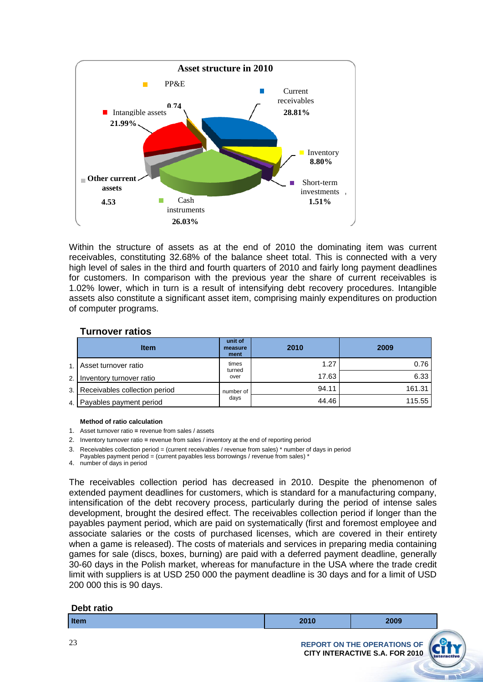

Within the structure of assets as at the end of 2010 the dominating item was current receivables, constituting 32.68% of the balance sheet total. This is connected with a very high level of sales in the third and fourth quarters of 2010 and fairly long payment deadlines for customers. In comparison with the previous year the share of current receivables is 1.02% lower, which in turn is a result of intensifying debt recovery procedures. Intangible assets also constitute a significant asset item, comprising mainly expenditures on production of computer programs.

### **Turnover ratios**

|                | <b>Item</b>                      | unit of<br>measure<br>ment | 2010  | 2009   |
|----------------|----------------------------------|----------------------------|-------|--------|
| 1 <sup>1</sup> | Asset turnover ratio             | times<br>turned            | 1.27  | 0.76   |
| 2.1            | Inventory turnover ratio         | over                       | 17.63 | 6.33   |
|                | 3. Receivables collection period | number of                  | 94.11 | 161.31 |
|                | 4. Payables payment period       | days                       | 44.46 | 115.55 |

### **Method of ratio calculation**

- 1. Asset turnover ratio **=** revenue from sales / assets
- 2. Inventory turnover ratio **=** revenue from sales / inventory at the end of reporting period
- 3. Receivables collection period = (current receivables / revenue from sales) \* number of days in period Payables payment period = (current payables less borrowings / revenue from sales) \*
- 4. number of days in period

The receivables collection period has decreased in 2010. Despite the phenomenon of extended payment deadlines for customers, which is standard for a manufacturing company, intensification of the debt recovery process, particularly during the period of intense sales development, brought the desired effect. The receivables collection period if longer than the payables payment period, which are paid on systematically (first and foremost employee and associate salaries or the costs of purchased licenses, which are covered in their entirety when a game is released). The costs of materials and services in preparing media containing games for sale (discs, boxes, burning) are paid with a deferred payment deadline, generally 30-60 days in the Polish market, whereas for manufacture in the USA where the trade credit limit with suppliers is at USD 250 000 the payment deadline is 30 days and for a limit of USD 200 000 this is 90 days.

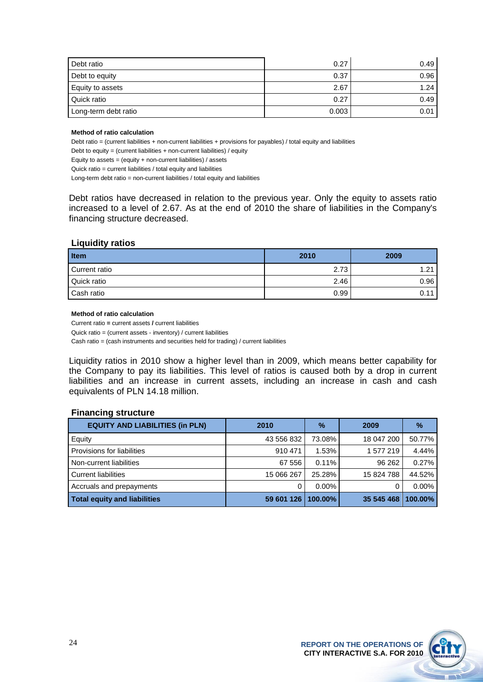| Debt ratio           | 0.27  | 0.49 |
|----------------------|-------|------|
| Debt to equity       | 0.37  | 0.96 |
| Equity to assets     | 2.67  | 1.24 |
| Quick ratio          | 0.27  | 0.49 |
| Long-term debt ratio | 0.003 | 0.01 |

### **Method of ratio calculation**

Debt ratio = (current liabilities + non-current liabilities + provisions for payables) / total equity and liabilities

Debt to equity = (current liabilities + non-current liabilities) / equity

Equity to assets = (equity + non-current liabilities) / assets

Quick ratio = current liabilities / total equity and liabilities

Long-term debt ratio = non-current liabilities / total equity and liabilities

Debt ratios have decreased in relation to the previous year. Only the equity to assets ratio increased to a level of 2.67. As at the end of 2010 the share of liabilities in the Company's financing structure decreased.

### **Liquidity ratios**

| <b>Item</b>   | 2010 | 2009 |
|---------------|------|------|
| Current ratio | 2.73 | 1.21 |
| Quick ratio   | 2.46 | 0.96 |
| Cash ratio    | 0.99 | 0.11 |

### **Method of ratio calculation**

Current ratio **=** current assets **/** current liabilities Quick ratio = (current assets - inventory) / current liabilities Cash ratio = (cash instruments and securities held for trading) / current liabilities

Liquidity ratios in 2010 show a higher level than in 2009, which means better capability for the Company to pay its liabilities. This level of ratios is caused both by a drop in current liabilities and an increase in current assets, including an increase in cash and cash equivalents of PLN 14.18 million.

### **Financing structure**

| <b>EQUITY AND LIABILITIES (in PLN)</b> | 2010               | $\%$     | 2009       | $\frac{9}{6}$ |
|----------------------------------------|--------------------|----------|------------|---------------|
| Equity                                 | 43 556 832         | 73.08%   | 18 047 200 | 50.77%        |
| l Provisions for liabilities           | 910 471            | 1.53%    | 1577219    | 4.44%         |
| Non-current liabilities                | 67 556             | 0.11%    | 96 26 2    | 0.27%         |
| Current liabilities                    | 15 066 267         | 25.28%   | 15 824 788 | 44.52%        |
| Accruals and prepayments               |                    | $0.00\%$ |            | $0.00\%$      |
| <b>Total equity and liabilities</b>    | 59 601 126 100.00% |          | 35 545 468 | 100.00%       |

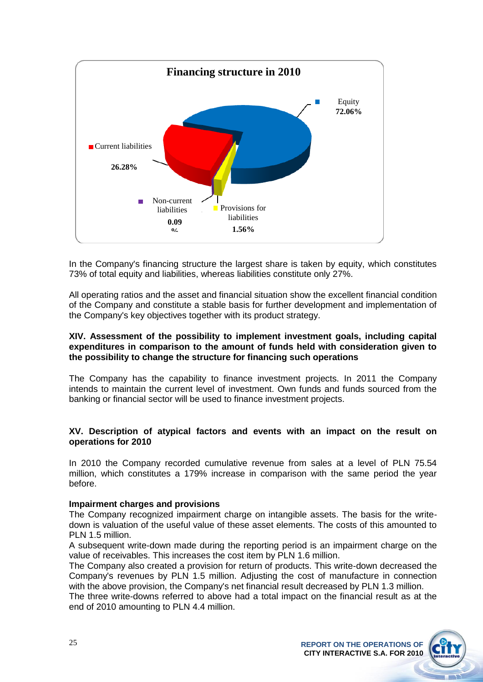

In the Company's financing structure the largest share is taken by equity, which constitutes 73% of total equity and liabilities, whereas liabilities constitute only 27%.

All operating ratios and the asset and financial situation show the excellent financial condition of the Company and constitute a stable basis for further development and implementation of the Company's key objectives together with its product strategy.

### **XIV. Assessment of the possibility to implement investment goals, including capital expenditures in comparison to the amount of funds held with consideration given to the possibility to change the structure for financing such operations**

The Company has the capability to finance investment projects. In 2011 the Company intends to maintain the current level of investment. Own funds and funds sourced from the banking or financial sector will be used to finance investment projects.

### **XV. Description of atypical factors and events with an impact on the result on operations for 2010**

In 2010 the Company recorded cumulative revenue from sales at a level of PLN 75.54 million, which constitutes a 179% increase in comparison with the same period the year before.

### **Impairment charges and provisions**

The Company recognized impairment charge on intangible assets. The basis for the writedown is valuation of the useful value of these asset elements. The costs of this amounted to PLN 1.5 million.

A subsequent write-down made during the reporting period is an impairment charge on the value of receivables. This increases the cost item by PLN 1.6 million.

The Company also created a provision for return of products. This write-down decreased the Company's revenues by PLN 1.5 million. Adjusting the cost of manufacture in connection with the above provision, the Company's net financial result decreased by PLN 1.3 million.

The three write-downs referred to above had a total impact on the financial result as at the end of 2010 amounting to PLN 4.4 million.

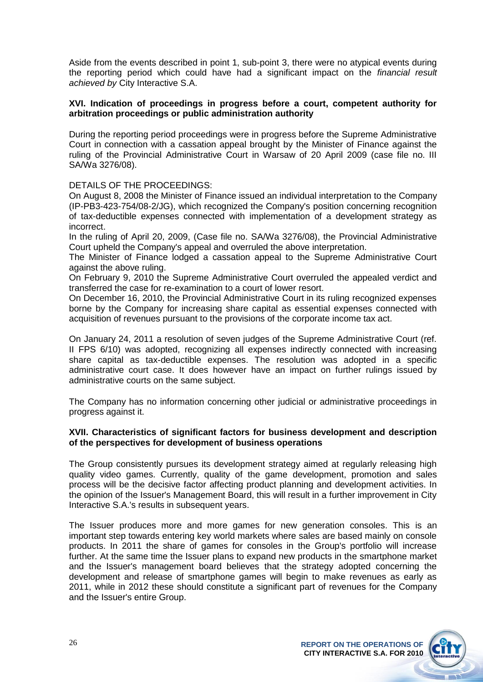Aside from the events described in point 1, sub-point 3, there were no atypical events during the reporting period which could have had a significant impact on the *financial result achieved by* City Interactive S.A.

### **XVI. Indication of proceedings in progress before a court, competent authority for arbitration proceedings or public administration authority**

During the reporting period proceedings were in progress before the Supreme Administrative Court in connection with a cassation appeal brought by the Minister of Finance against the ruling of the Provincial Administrative Court in Warsaw of 20 April 2009 (case file no. III SA/Wa 3276/08).

### DETAILS OF THE PROCEEDINGS:

On August 8, 2008 the Minister of Finance issued an individual interpretation to the Company (IP-PB3-423-754/08-2/JG), which recognized the Company's position concerning recognition of tax-deductible expenses connected with implementation of a development strategy as incorrect.

In the ruling of April 20, 2009, (Case file no. SA/Wa 3276/08), the Provincial Administrative Court upheld the Company's appeal and overruled the above interpretation.

The Minister of Finance lodged a cassation appeal to the Supreme Administrative Court against the above ruling.

On February 9, 2010 the Supreme Administrative Court overruled the appealed verdict and transferred the case for re-examination to a court of lower resort.

On December 16, 2010, the Provincial Administrative Court in its ruling recognized expenses borne by the Company for increasing share capital as essential expenses connected with acquisition of revenues pursuant to the provisions of the corporate income tax act.

On January 24, 2011 a resolution of seven judges of the Supreme Administrative Court (ref. II FPS 6/10) was adopted, recognizing all expenses indirectly connected with increasing share capital as tax-deductible expenses. The resolution was adopted in a specific administrative court case. It does however have an impact on further rulings issued by administrative courts on the same subject.

The Company has no information concerning other judicial or administrative proceedings in progress against it.

### **XVII. Characteristics of significant factors for business development and description of the perspectives for development of business operations**

The Group consistently pursues its development strategy aimed at regularly releasing high quality video games. Currently, quality of the game development, promotion and sales process will be the decisive factor affecting product planning and development activities. In the opinion of the Issuer's Management Board, this will result in a further improvement in City Interactive S.A.'s results in subsequent years.

The Issuer produces more and more games for new generation consoles. This is an important step towards entering key world markets where sales are based mainly on console products. In 2011 the share of games for consoles in the Group's portfolio will increase further. At the same time the Issuer plans to expand new products in the smartphone market and the Issuer's management board believes that the strategy adopted concerning the development and release of smartphone games will begin to make revenues as early as 2011, while in 2012 these should constitute a significant part of revenues for the Company and the Issuer's entire Group.

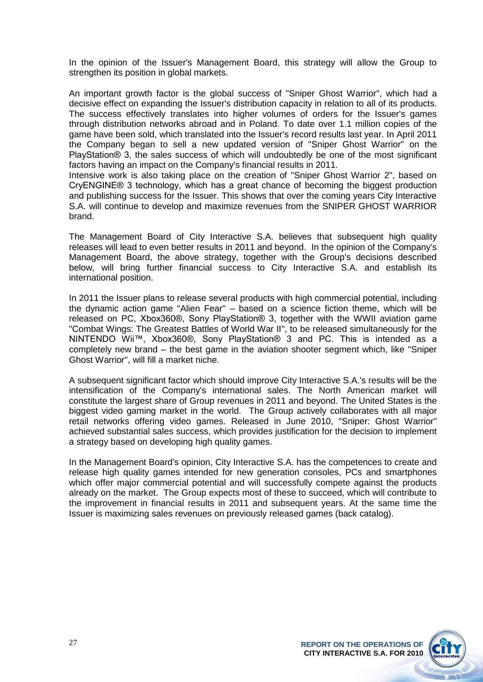In the opinion of the Issuer's Management Board, this strategy will allow the Group to strengthen its position in global markets.

An important growth factor is the global success of "Sniper Ghost Warrior", which had a decisive effect on expanding the Issuer's distribution capacity in relation to all of its products. The success effectively translates into higher volumes of orders for the Issuer's games through distribution networks abroad and in Poland. To date over 1.1 million copies of the game have been sold, which translated into the Issuer's record results last year. In April 2011 the Company began to sell a new updated version of "Sniper Ghost Warrior" on the PlayStation® 3, the sales success of which will undoubtedly be one of the most significant factors having an impact on the Company's financial results in 2011.

Intensive work is also taking place on the creation of "Sniper Ghost Warrior 2", based on CryENGINE® 3 technology, which has a great chance of becoming the biggest production and publishing success for the Issuer. This shows that over the coming years City Interactive S.A. will continue to develop and maximize revenues from the SNIPER GHOST WARRIOR brand.

The Management Board of City Interactive S.A. believes that subsequent high quality releases will lead to even better results in 2011 and beyond. In the opinion of the Company's Management Board, the above strategy, together with the Group's decisions described below, will bring further financial success to City Interactive S.A. and establish its international position.

In 2011 the Issuer plans to release several products with high commercial potential, including the dynamic action game "Alien Fear" – based on a science fiction theme, which will be released on PC, Xbox360®, Sony PlayStation® 3, together with the WWII aviation game "Combat Wings: The Greatest Battles of World War II", to be released simultaneously for the NINTENDO Wii™, Xbox360®, Sony PlayStation® 3 and PC. This is intended as a completely new brand – the best game in the aviation shooter segment which, like "Sniper Ghost Warrior", will fill a market niche.

A subsequent significant factor which should improve City Interactive S.A.'s results will be the intensification of the Company's international sales. The North American market will constitute the largest share of Group revenues in 2011 and beyond. The United States is the biggest video gaming market in the world. The Group actively collaborates with all major retail networks offering video games. Released in June 2010, "Sniper: Ghost Warrior" achieved substantial sales success, which provides justification for the decision to implement a strategy based on developing high quality games.

In the Management Board's opinion, City Interactive S.A. has the competences to create and release high quality games intended for new generation consoles, PCs and smartphones which offer major commercial potential and will successfully compete against the products already on the market. The Group expects most of these to succeed, which will contribute to the improvement in financial results in 2011 and subsequent years. At the same time the Issuer is maximizing sales revenues on previously released games (back catalog).

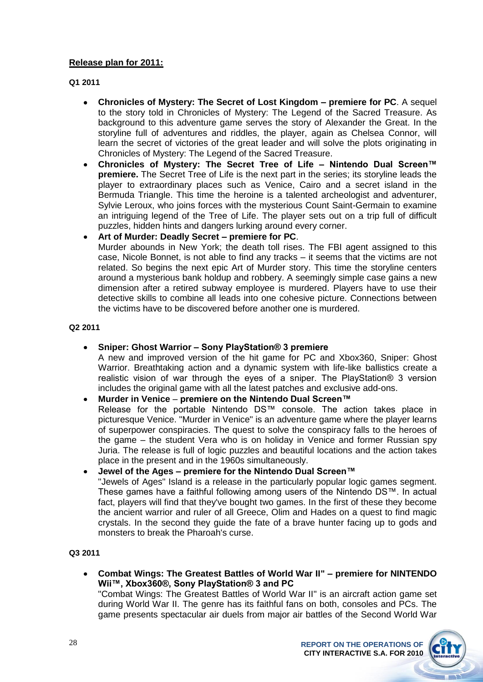### **Release plan for 2011:**

**Q1 2011**

- **Chronicles of Mystery: The Secret of Lost Kingdom – premiere for PC**. A sequel  $\bullet$ to the story told in Chronicles of Mystery: The Legend of the Sacred Treasure. As background to this adventure game serves the story of Alexander the Great. In the storyline full of adventures and riddles, the player, again as Chelsea Connor, will learn the secret of victories of the great leader and will solve the plots originating in Chronicles of Mystery: The Legend of the Sacred Treasure.
- **Chronicles of Mystery: The Secret Tree of Life – Nintendo Dual Screen™ premiere.** The Secret Tree of Life is the next part in the series; its storyline leads the player to extraordinary places such as Venice, Cairo and a secret island in the Bermuda Triangle. This time the heroine is a talented archeologist and adventurer, Sylvie Leroux, who joins forces with the mysterious Count Saint-Germain to examine an intriguing legend of the Tree of Life. The player sets out on a trip full of difficult puzzles, hidden hints and dangers lurking around every corner.
- **Art of Murder: Deadly Secret – premiere for PC**.

Murder abounds in New York; the death toll rises. The FBI agent assigned to this case, Nicole Bonnet, is not able to find any tracks – it seems that the victims are not related. So begins the next epic Art of Murder story. This time the storyline centers around a mysterious bank holdup and robbery. A seemingly simple case gains a new dimension after a retired subway employee is murdered. Players have to use their detective skills to combine all leads into one cohesive picture. Connections between the victims have to be discovered before another one is murdered.

**Q2 2011**

### **Sniper: Ghost Warrior – Sony PlayStation® 3 premiere**

A new and improved version of the hit game for PC and Xbox360, Sniper: Ghost Warrior. Breathtaking action and a dynamic system with life-like ballistics create a realistic vision of war through the eyes of a sniper. The PlayStation® 3 version includes the original game with all the latest patches and exclusive add-ons.

### **Murder in Venice** – **premiere on the Nintendo Dual Screen™**

Release for the portable Nintendo DS™ console. The action takes place in picturesque Venice. "Murder in Venice" is an adventure game where the player learns of superpower conspiracies. The quest to solve the conspiracy falls to the heroes of the game – the student Vera who is on holiday in Venice and former Russian spy Juria. The release is full of logic puzzles and beautiful locations and the action takes place in the present and in the 1960s simultaneously.

### **Jewel of the Ages – premiere for the Nintendo Dual Screen™**

"Jewels of Ages" Island is a release in the particularly popular logic games segment. These games have a faithful following among users of the Nintendo DS™. In actual fact, players will find that they've bought two games. In the first of these they become the ancient warrior and ruler of all Greece, Olim and Hades on a quest to find magic crystals. In the second they guide the fate of a brave hunter facing up to gods and monsters to break the Pharoah's curse.

**Q3 2011**

**Combat Wings: The Greatest Battles of World War II" – premiere for NINTENDO Wii™, Xbox360®, Sony PlayStation® 3 and PC**

"Combat Wings: The Greatest Battles of World War II" is an aircraft action game set during World War II. The genre has its faithful fans on both, consoles and PCs. The game presents spectacular air duels from major air battles of the Second World War

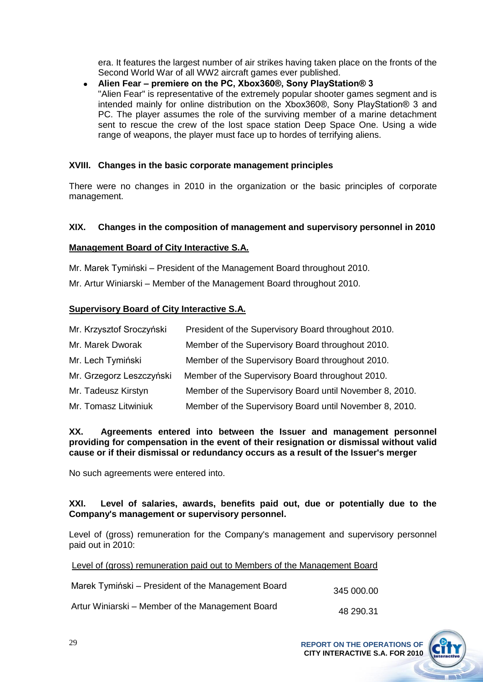era. It features the largest number of air strikes having taken place on the fronts of the Second World War of all WW2 aircraft games ever published.

### **Alien Fear – premiere on the PC, Xbox360®, Sony PlayStation® 3**  "Alien Fear" is representative of the extremely popular shooter games segment and is intended mainly for online distribution on the Xbox360®, Sony PlayStation® 3 and PC. The player assumes the role of the surviving member of a marine detachment sent to rescue the crew of the lost space station Deep Space One. Using a wide range of weapons, the player must face up to hordes of terrifying aliens.

### **XVIII. Changes in the basic corporate management principles**

There were no changes in 2010 in the organization or the basic principles of corporate management.

### **XIX. Changes in the composition of management and supervisory personnel in 2010**

### **Management Board of City Interactive S.A.**

Mr. Marek Tymiński – President of the Management Board throughout 2010.

Mr. Artur Winiarski – Member of the Management Board throughout 2010.

### **Supervisory Board of City Interactive S.A.**

| Mr. Krzysztof Sroczyński | President of the Supervisory Board throughout 2010.     |
|--------------------------|---------------------------------------------------------|
| Mr. Marek Dworak         | Member of the Supervisory Board throughout 2010.        |
| Mr. Lech Tymiński        | Member of the Supervisory Board throughout 2010.        |
| Mr. Grzegorz Leszczyński | Member of the Supervisory Board throughout 2010.        |
| Mr. Tadeusz Kirstyn      | Member of the Supervisory Board until November 8, 2010. |
| Mr. Tomasz Litwiniuk     | Member of the Supervisory Board until November 8, 2010. |

### **XX. Agreements entered into between the Issuer and management personnel providing for compensation in the event of their resignation or dismissal without valid cause or if their dismissal or redundancy occurs as a result of the Issuer's merger**

No such agreements were entered into.

### **XXI. Level of salaries, awards, benefits paid out, due or potentially due to the Company's management or supervisory personnel.**

Level of (gross) remuneration for the Company's management and supervisory personnel paid out in 2010:

Level of (gross) remuneration paid out to Members of the Management Board

| Marek Tymiński – President of the Management Board | 345 000.00 |
|----------------------------------------------------|------------|
| Artur Winiarski – Member of the Management Board   | 48 290 31  |

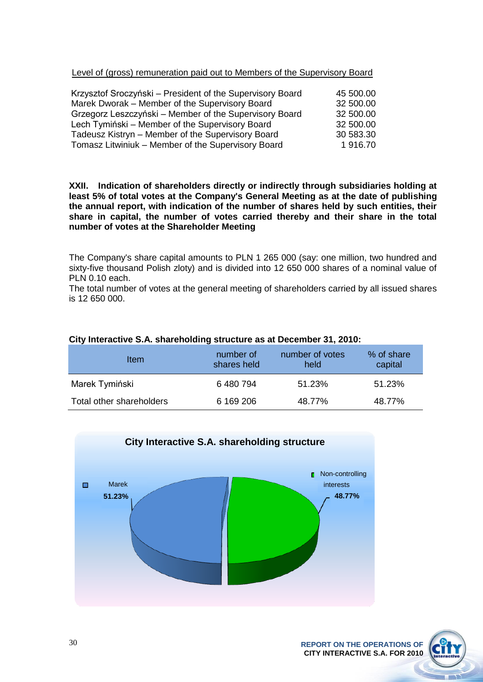Level of (gross) remuneration paid out to Members of the Supervisory Board

| Krzysztof Sroczyński – President of the Supervisory Board | 45 500.00 |
|-----------------------------------------------------------|-----------|
| Marek Dworak - Member of the Supervisory Board            | 32 500.00 |
| Grzegorz Leszczyński – Member of the Supervisory Board    | 32 500.00 |
| Lech Tymiński – Member of the Supervisory Board           | 32 500.00 |
| Tadeusz Kistryn - Member of the Supervisory Board         | 30 583.30 |
| Tomasz Litwiniuk - Member of the Supervisory Board        | 1916.70   |

**XXII. Indication of shareholders directly or indirectly through subsidiaries holding at least 5% of total votes at the Company's General Meeting as at the date of publishing the annual report, with indication of the number of shares held by such entities, their share in capital, the number of votes carried thereby and their share in the total number of votes at the Shareholder Meeting**

The Company's share capital amounts to PLN 1 265 000 (say: one million, two hundred and sixty-five thousand Polish zloty) and is divided into 12 650 000 shares of a nominal value of PLN 0.10 each.

The total number of votes at the general meeting of shareholders carried by all issued shares is 12 650 000.

| Item                     | number of<br>shares held | number of votes<br>held | % of share<br>capital |
|--------------------------|--------------------------|-------------------------|-----------------------|
| Marek Tymiński           | 6480794                  | 51.23%                  | 51.23%                |
| Total other shareholders | 6 169 206                | 48.77%                  | 48.77%                |

### **City Interactive S.A. shareholding structure as at December 31, 2010:**



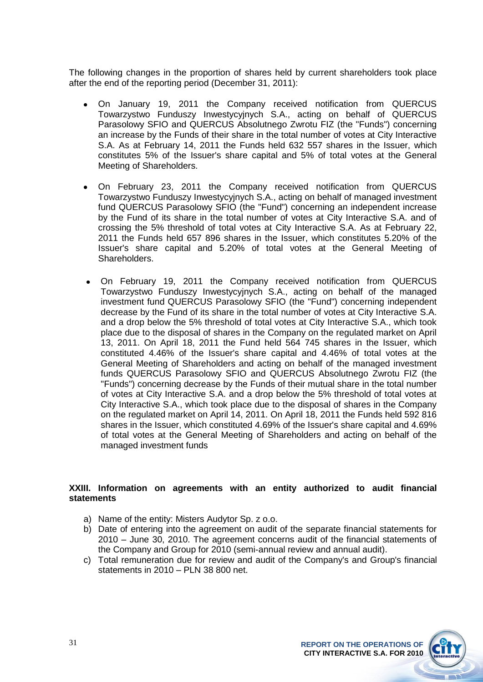The following changes in the proportion of shares held by current shareholders took place after the end of the reporting period (December 31, 2011):

- On January 19, 2011 the Company received notification from QUERCUS Towarzystwo Funduszy Inwestycyjnych S.A., acting on behalf of QUERCUS Parasolowy SFIO and QUERCUS Absolutnego Zwrotu FIZ (the "Funds") concerning an increase by the Funds of their share in the total number of votes at City Interactive S.A. As at February 14, 2011 the Funds held 632 557 shares in the Issuer, which constitutes 5% of the Issuer's share capital and 5% of total votes at the General Meeting of Shareholders.
- On February 23, 2011 the Company received notification from QUERCUS  $\bullet$ Towarzystwo Funduszy Inwestycyjnych S.A., acting on behalf of managed investment fund QUERCUS Parasolowy SFIO (the "Fund") concerning an independent increase by the Fund of its share in the total number of votes at City Interactive S.A. and of crossing the 5% threshold of total votes at City Interactive S.A. As at February 22, 2011 the Funds held 657 896 shares in the Issuer, which constitutes 5.20% of the Issuer's share capital and 5.20% of total votes at the General Meeting of Shareholders.
- On February 19, 2011 the Company received notification from QUERCUS Towarzystwo Funduszy Inwestycyjnych S.A., acting on behalf of the managed investment fund QUERCUS Parasolowy SFIO (the "Fund") concerning independent decrease by the Fund of its share in the total number of votes at City Interactive S.A. and a drop below the 5% threshold of total votes at City Interactive S.A., which took place due to the disposal of shares in the Company on the regulated market on April 13, 2011. On April 18, 2011 the Fund held 564 745 shares in the Issuer, which constituted 4.46% of the Issuer's share capital and 4.46% of total votes at the General Meeting of Shareholders and acting on behalf of the managed investment funds QUERCUS Parasolowy SFIO and QUERCUS Absolutnego Zwrotu FIZ (the "Funds") concerning decrease by the Funds of their mutual share in the total number of votes at City Interactive S.A. and a drop below the 5% threshold of total votes at City Interactive S.A., which took place due to the disposal of shares in the Company on the regulated market on April 14, 2011. On April 18, 2011 the Funds held 592 816 shares in the Issuer, which constituted 4.69% of the Issuer's share capital and 4.69% of total votes at the General Meeting of Shareholders and acting on behalf of the managed investment funds

### **XXIII. Information on agreements with an entity authorized to audit financial statements**

- a) Name of the entity: Misters Audytor Sp. z o.o.
- b) Date of entering into the agreement on audit of the separate financial statements for 2010 – June 30, 2010. The agreement concerns audit of the financial statements of the Company and Group for 2010 (semi-annual review and annual audit).
- c) Total remuneration due for review and audit of the Company's and Group's financial statements in 2010 – PLN 38 800 net.